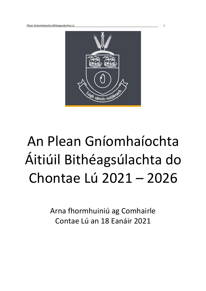

# An Plean Gníomhaíochta Áitiúil Bithéagsúlachta do Chontae Lú 2021 – 2026

Arna fhormhuiniú ag Comhairle Contae Lú an 18 Eanáir 2021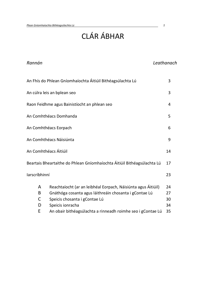## CLÁR ÁBHAR

| Rannán        |                                                                         | Leathanach |
|---------------|-------------------------------------------------------------------------|------------|
|               | An Fhís do Phlean Gníomhaíochta Áitiúil Bithéagsúlachta Lú              | 3          |
|               | An cúlra leis an bplean seo                                             | 3          |
|               | Raon Feidhme agus Bainistíocht an phlean seo                            | 4          |
|               | An Comhthéacs Domhanda                                                  | 5          |
|               | An Comhthéacs Eorpach                                                   | 6          |
|               | An Comhthéacs Náisiúnta                                                 | 9          |
|               | An Comhthéacs Áitiúil                                                   | 14         |
|               | Beartais Bheartaithe do Phlean Gníomhaíochta Áitiúil Bithéagsúlachta Lú | 17         |
| larscríbhinní |                                                                         | 23         |
| A             | Reachtaíocht (ar an leibhéal Eorpach, Náisiúnta agus Áitiúil)           | 24         |
| B             | Gnáthóga cosanta agus láithreáin chosanta i gContae Lú                  | 27         |
| C             | Speicis chosanta i gContae Lú                                           | 30         |
| D             | Speicis ionracha                                                        | 34         |
| E             | An obair bithéagsúlachta a rinneadh roimhe seo i gContae Lú             | 35         |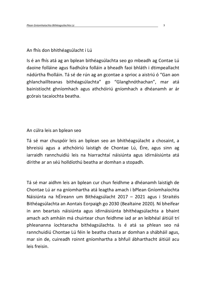## An fhís don bhithéagsúlacht i Lú

Is é an fhís atá ag an bplean bithéagsúlachta seo go mbeadh ag Contae Lú daoine folláine agus fiadhúlra folláin a bheadh faoi bhláth i dtimpeallacht nádúrtha fholláin. Tá sé de rún ag an gcontae a sprioc a aistriú ó "Gan aon ghlanchaillteanas bithéagsúlachta" go "Glanghnóthachan", mar atá bainistíocht ghníomhach agus athchóiriú gníomhach a dhéanamh ar ár gcórais tacaíochta beatha.

## An cúlra leis an bplean seo

Tá sé mar chuspóir leis an bplean seo an bhithéagsúlacht a chosaint, a bhreisiú agus a athchóiriú laistigh de Chontae Lú, Éire, agus sinn ag iarraidh rannchuidiú leis na hiarrachtaí náisiúnta agus idirnáisiúnta atá dírithe ar an séú holldíothú beatha ar domhan a stopadh.

Tá sé mar aidhm leis an bplean cur chun feidhme a dhéanamh laistigh de Chontae Lú ar na gníomhartha atá leagtha amach i bPlean Gníomhaíochta Náisiúnta na hÉireann um Bithéagsúlacht 2017 – 2021 agus i Straitéis Bithéagsúlachta an Aontais Eorpaigh go 2030 (Bealtaine 2020). Ní bheifear in ann beartais náisiúnta agus idirnáisiúnta bhithéagsúlachta a bhaint amach ach amháin má chuirtear chun feidhme iad ar an leibhéal áitiúil trí phleananna íochtaracha bithéagsúlachta. Is é atá sa phlean seo ná rannchuidiú Chontae Lú féin le beatha chasta ar domhan a shábháil agus, mar sin de, cuireadh roinnt gníomhartha a bhfuil ábharthacht áitiúil acu leis freisin.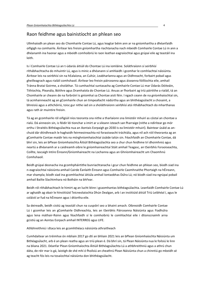## Raon feidhme agus bainistíocht an phlean seo

Ullmhaíodh an plean seo do Chomhairle Contae Lú, agus leagtar béim ann ar na gníomhartha a dhéanfaidh oifigigh na comhairle. Áirítear leis freisin gníomhartha riachtanacha nach mbeidh Comhairle Contae Lú in ann a dhéanamh ina haonar agus a mbeidh comhoibriú le raon leathan eagraíochtaí agus grúpaí eile ag teastáil ina leith.

Is í Comhairle Contae Lú an t-údarás áitiúil do Chontae Lú ina iomláine. Soláthraíonn sí seirbhísí ríthábhachtacha do mhuintir Lú, agus is minic a dhéanann sí amhlaidh i gcomhar le comhlachtaí náisiúnta. Áirítear leis na seirbhísí sin na hEalaíona, an Cultúr, Leabharlanna agus an Oidhreacht, forbairt pobail agus gheilleagrach agus rialáil comhshaoil. Áirítear leo freisin páirceanna agus áiseanna fóillíochta eile, amhail Tránna Brataí Goirme, a sholáthar. Tá cumhachtaí suntasacha ag Comhairle Contae Lú mar Údarás Dóiteáin, Tithíochta, Pleanála, Bóithre agus Dramhaíola do Chontae Lú. Anuas ar fhorbairt ag tríú páirtithe a rialáil, tá an Chomhairle ar cheann de na forbróirí is gníomhaí sa Chontae aisti féin. I ngach ceann de na gníomhaíochtaí sin, tá acmhainneacht ag an gComhairle chun an timpeallacht nádúrtha agus an bhithéagsúlacht a chosaint, a bhreisiú agus a athchóiriú, toisc gur nithe iad sin a sholáthraíonn seirbhísí atá ríthábhachtach do mharthanas agus rath ár muintire freisin.

Tá ag an gcomhairle ról oifigiúil níos teoranta sna nithe a tharlaíonn sna limistéir mhuirí as cóstaí an chontae a rialú. Dá ainneoin sin, is féidir léi tionchar a imirt ar a sileann isteach san fharraige (nithe a ndírítear go mór orthu i Straitéis Bithéagsúlachta nua an Aontais Eorpaigh go 2030 is ea limistéir mhuirí). Baintear úsáid as anchuid dár dtírdhreach le haghaidh feirmeoireachta nó foraoiseacht tráchtála, agus níl ach róil theoranta ag an gComhairle Contae maidir leis na mórghníomhaíochtaí úsáide talún sin. Féachfaidh an Chomhairle Contae, dá bhrí sin, leis an bPlean Gníomhaíochta Áitiúil Bithéagsúlachta seo a chur chun feidhme trí dhoimhniú agus neartú a dhéanamh ar a caidreamh oibre le gníomhaireachtaí Stáit amhail Teagasc, an tSeirbhís Foraoiseachta, Coillte, Iascaigh Intíre Éireann/Gníomhaireacht na Lochanna agus an Ghníomhaireacht um Chaomhnú Comhshaoil.

Beidh grúpaí deonacha ina gcomhpháirtithe bunriachtanacha i gcur chun feidhme an phlean seo, bíodh siad ina n-eagraíochtaí náisiúnta amhail Cairde Éanlaith Éireann agus Comhairle Caomhnaithe Phortaigh na hÉireann, mar shampla; bíodh siad ina gcomhlachtaí áitiúla amhail Iontaobhas Dúlra Lú; nó bíodh siad ina ngrúpaí pobail amhail Bailte Slachtmhara nó Botháin na bhFear.

Beidh ról ríthábhachtach le himirt ag an lucht léinn i gcaomhantas bithéagsúlachta. Leanfaidh Comhairle Contae Lú ar aghaidh ag obair le hInstitiúid Teicneolaíochta Dhún Dealgan, arb í an institiúid áitiúil Tríú Leibhéal í, agus le coláistí ar fud na hÉireann agus i dtíortha eile.

Sa deireadh, beidh cistiú ag teastáil chun na cuspóirí seo a bhaint amach. Oibreoidh Comhairle Contae Lú i gcomhar leis an gComhairle Oidhreachta, leis an tSeirbhís Páirceanna Náisiúnta agus Fiadhúlra agus lena máthair-Roinn agus féachfaidh sí le comhoibriú le comhlachtaí eile i dtionscnaimh arna gcistiú ag an Aontas Eorpach amhail INTERREG agus LIFE.

Athbhreithniú i dtaca leis an gcomhthéacs náisiúnta athraitheach

Cumhdaítear an tréimhse ón mbliain 2017 go dtí an bhliain 2021 leis an bPlean Gníomhaíochta Náisiúnta um Bithéagsúlacht, arb é an plean reatha agus an tríú plean é. Dá bhrí sin, tá Plean Náisiúnta nua le foilsiú le linn na bliana 2021. Déanfar Plean Gníomhaíochta Áitiúil Bithéagsúlachta Lú a athbhreithniú agus a athrú chun dáta, de réir mar is gá, laistigh de shé mhí ó fhoilsiú an cheathrú Plean Náisiúnta chun a chinntiú go mbeidh sé ag teacht fós leis na tosaíochtaí náisiúnta don bhithéagsúlacht.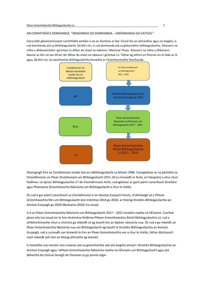AN COMHTHÉACS DOMHANDA. "SMAOINIGH GO DOMHANDA – GNÍOMHAIGH GO hÁITIÚIL".

Córas bith-gheoiceimiceach comhtháite amháin is ea an Domhan ar fad. Cosúil leis an atmaisféar agus na haigéin, is rud domhanda atá sa bhithéagsúlacht. Dá bhrí sin, is rud domhanda atá sa ghéarchéim bithéagsúlachta. Déanann na nithe a dhéanaimidne i gContae Lú difear do shaol na ndaoine i Meiriceá Theas. Déanann na nithe a dhéanann daoine sa tSín nó san Afraic láir difear do shaol na ndaoine i gContae Lú. Táthar ag aithint an fhíorais sin le fada an lá agus, dá bhrí sin, tá caomhantas bithéagsúlachta bunaithe ar Chomhaontuithe Domhanda.



Dhaingnigh Éire an Coinbhinsiún maidir leis an mBithéagsúlacht sa bhliain 1996. Ceanglaítear ar na páirtithe sa Choinbhinsiún an Plean Straitéiseach um Bithéagsúlacht 2011-20 (a rinneadh in Aichi, an tSeapáin) a chur chun feidhme. Le Sprioc Bithéagsúlachta 17 de Choinbhinsiún Aichi, ceanglaítear ar gach páirtí conarthach Straitéisí agus Pleananna Gníomhaíochta Náisiúnta um Bithéagsúlacht a chur le chéile.

Ós rud é gur páirtí conarthach sa choinbhinsiún é an tAontas Eorpach freisin, d'ullmhaigh sé a Phlean Gníomhaíochta féin um Bithéagsúlacht don tréimhse 2010 go 2020, ar tháinig Straitéis Bithéagsúlachta an Aontais Eorpaigh go 2030 (Bealtaine 2020) ina ionad.

Is é an Plean Gníomhaíochta Náisiúnta um Bithéagsúlacht 2017 – 2021 straitéis reatha na hÉireann. Cuirfear plean eile ina ionad sin le linn thréimhse feidhme Phlean Gníomhaíochta Áitiúil Bithéagsúlachta Lú, rud a athbhreithneofar chun a chinntiú go mbeidh sé ag teacht leis an bplean náisiúnta nua. Ós rud é go mbeidh an Plean Gníomhaíochta Náisiúnta nua um Bithéagsúlacht ag teacht le Straitéis Bithéagsúlachta an Aontais Eorpaigh, rud a cuireadh san áireamh le linn an Plean Gníomhaíochta seo a chur le chéile, táthar dóchasach nach mbeidh ach líon an-bheag athruithe ag teastáil.

Is liostaithe sna rannáin seo a leanas atá na gníomhartha uile atá leagtha amach i Straitéis Bithéagsúlachta an Aontais Eorpaigh agus i bPlean Gníomhaíochta Náisiúnta reatha na hÉireann um Bithéagsúlacht agus atá ábhartha do chúrsaí laistigh de Chontae Lú go pointe éigin.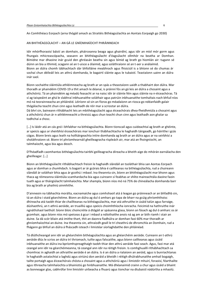An Comhthéacs Eorpach (arna thógáil amach as Straitéis Bithéagsúlachta an Aontais Eorpaigh go 2030)

AN BHITHÉAGSÚLACHT – AN GÁ LE GNÍOMHAÍOCHT PHRÁINNEACH

Idir mhórfhoraoisí báistí an domhain, pháirceanna beaga agus ghairdíní, agus idir an míol mór gorm agus fhungais mhicreascópacha, seasann an bhithéagsúlacht d'éagsúlacht ollmhór na beatha ar Domhan. Bímidne mar dhaoine inár gcuid den ghréasán beatha sin agus bímid ag brath go hiomlán air: tugann sé dúinn an bia a ithimid, scagann sé an t-uisce a ólaimid, agus soláthraíonn sé an t-aer a análaímid. Bíonn an dúlra chomh tábhachtach dár bhfolláine meabhrach agus fhisiciúil is a bhíonn sé do chumas ár sochaí chun déileáil leis an athrú domhanda, le bagairtí sláinte agus le tubaistí. Teastaíonn uainn an dúlra inár saol.

Bíonn sochaithe sláintiúla athléimneacha ag brath ar an spás a theastaíonn uaidh a thabhairt don dúlra. Mar thoradh ar phaindéim COVID-19 a thit amach le déanaí, is práinní fós an gá leis an dúlra a chosaint agus a athchóiriú. Tá an phaindéim ag méadú feasacht ar na naisc idir ár sláinte féin agus sláinte na n-éiceachóras. Tá sí ag taispeáint an ghá le slabhraí inbhuanaithe soláthair agus patrúin inbhuanaithe tomhaltais nach bhfuil níos mó ná teorainneacha an phláinéid. Léiríonn sé sin an fíoras go méadaíonn an riosca go ndéanfaidh galair thógálacha teacht chun cinn agus leathadh de réir mar a scriostar an dúlra.

Dá bhrí sin, baineann ríthábhacht leis an mbithéagsúlacht agus éiceachórais dhea-fheidhmiúla a chosaint agus a athchóiriú chun ár n-athléimneacht a threisiú agus chun teacht chun cinn agus leathadh aon ghalar sa todhchaí a chosc.

[...] Is láidir atá an cás gnó i bhfabhar na bithéagsúlachta. Bíonn tionscail agus cuideachtaí ag brath ar ghéinte, ar speicis agus ar sheirbhísí éiceachórais mar ionchuir thábhachtacha le haghaidh táirgeadh, go háirithe i gcás cógas. Bíonn breis agus leath na holltáirgeachta intíre domhanda ag brath ar an dúlra agus ar na seirbhísí a sholáthraíonn sé. Bíonn trí phríomhearnáil gheilleagracha ríspleách air, mar atá an fhoirgníocht, an talmhaíocht, agus bia agus deoch.

D'fhéadfadh caomhantas bithéagsúlachta tairbhí geilleagracha díreacha a bheith aige do mhórán earnálacha den gheilleagar. […]

Bíonn an bhithéagsúlacht ríthábhachtach freisin le haghaidh slándáil an tsoláthair bhia san Aontas Eorpach agus ar domhan a chumhdach. Is bagairt ar ár gcórais bhia é caillteanas na bithéagsúlachta, rud a chuireann slándáil ár soláthair bhia agus ár gcothú i mbaol. Ina theannta sin, bíonn an bhithéagsúlacht mar bhonn agus thaca ag réimeanna sláintiúla scamhardacha bia agus cuireann sí feabhas ar shlite maireachtála daoine faoin tuath agus ar tháirgiúlacht talmhaíochta. Mar shampla, bíonn níos mó ná 75% de chineálacha domhanda barr bia ag brath ar phailniú ainmhithe.

D'ainneoin na tábhachta morálta, eacnamaíche agus comhshaoil atá á leagan go práinneach ar an bhfadhb sin, tá an dúlra i staid géarchéime. Bíonn an dúlra ag dul ó amharc go tapa de bharr na gcúig phríomhthoisc dhíreacha atá taobh thiar de chaillteanas na bithéagsúlachta, mar atá athruithe in úsáid talún agus farraige, dúshaothrú, an t-athrú aeráide, an truailliú agus speicis choimhthíocha ionracha. Feicimid na hathruithe inár ngnáthshaol laethúil: bíonn bloic choincréite á dtógáil ar spásanna glasa, bíonn an fásach ag dul ó amharc os ár gcomhair, agus bíonn níos mó speiceas á gcur i mbaol a ndíothaithe anois ná ag am ar bith riamh i stair an duine. Sa dá scór bliain atá imithe thart, thit an daonra fiadhúlra ar domhan faoi 60% mar thoradh ar ghníomhaíochtaí an duine. Ina theannta sin, athraíodh geall le trí cheathrú de dhromchla an Domhain, rud a fhágann go bhfuil an dúlra á fháscadh isteach i limistéar síorlaghdaithe den phláinéad.

Tá dlúthcheangal ann idir an ghéarchéim bithéagsúlachta agus an ghéarchéim aeráide. Cuireann an t-athrú aeráide dlús le scrios an dúlra trí thriomach, tuilte agus falscaithe, agus bíonn caillteanas agus úsáid inbhuanaithe an dúlra ina bpríomhspreagthaigh taobh thiar den athrú aeráide faoi seach. Agus, faoi mar atá ceangal ann idir na géarchéimeanna, tá ceangal ann idir na réitigh freisin. Is comhghuaillí ríthábhachtach sa chomhrac in aghaidh an athraithe aeráide é an dúlra. Is é an dúlra a rialaíonn an aeráid, agus is bunriachtanas le haghaidh astaíochtaí a laghdú agus oiriúnú don aeráid a bheidh i réitigh dhúlrabhunaithe amhail bogaigh, tailte portaigh agus éiceachórais chósta a chosaint agus a athchóiriú agus i limistéir mhuirí, foraoisí, féarthailte agus ithreacha talmhaíochta a bhainistiú go hinbhuanaithe. Má dhéanaimid crainn a chur agus úsáid a bhaint as bonneagar glas, cabhrófar linn limistéir uirbeacha a fhuarú agus tionchar na dtubaistí nádúrtha a mhaolú.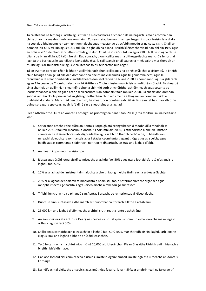Tá caillteanas na bithéagsúlachta agus titim na n-éiceachóras ar cheann de na bagairtí is mó os comhair an chine dhaonna sna deich mbliana romhainn. Cuireann siad bunsraith ár ngeilleagair i mbaol freisin. Is ard atá na costais a bhaineann le neamhghníomhaíocht agus meastar go dtiocfaidh méadú ar na costais sin. Chaill an domhan idir €3.5 trilliún agus €18.5 trilliún in aghaidh na bliana i seirbhísí éiceachórais idir an bhliain 1997 agus an bhliain 2011 de bharr athruithe cumhdaigh talún. Chaill sé idir €5.5 trilliún agus €10.5 trilliún in aghaidh na bliana de bharr díghrádú talún freisin. Rud sonrach, bíonn caillteanas na bithéagsúlachta mar chúis le torthaí laghdaithe barr agus le gabhálacha laghdaithe éisc, le caillteanais gheilleagracha mhéadaithe mar thoradh ar thuilte agus ar thubaistí eile agus le caillteanas foinsí féideartha nua cógais.

Tá an tAontas Eorpach réidh le bheith uaillmhianach chun caillteanas na bithéagsúlachta a aisiompú, le bheith chun tosaigh ar an gcuid eile den domhan trína bheith ina eiseamláir agus trí ghníomhaíocht, agus le rannchuidiú le creat domhanda claochlaitheach don saol tar éis na bliana 2020 a chomhaontú agus a ghlacadh ag an 15ú ceann de Chomhdhálacha na bPáirtithe sa Choinbhinsiún maidir leis an mBithéagsúlacht. Ba cheart é sin a chur leis an uaillmhian cheannlíne chun a chinntiú gurb athchóirithe, athléimneach agus cosanta go leordhóthanach a bheidh gach ceann d'éiceachórais an domhain faoin mbliain 2050. Ba cheart don domhan gabháil air féin cloí le prionsabal an ghlanghnóthachain chun níos mó ná a thógann an domhan uaidh a thabhairt don dúlra. Mar chuid den obair sin, ba cheart don domhan gabháil air féin gan tabhairt faoi dhíothú duine-spreagtha speiceas, nuair is féidir é sin a sheachaint ar a laghad.

Plean Athchóirithe Dúlra an Aontais Eorpaigh: na príomhghealltanais faoi 2030 (arna fhoilsiú i mí na Bealtaine 2020)

- 1. Spriocanna athchóirithe dúlra an Aontais Eorpaigh atá ceangailteach ó thaobh dlí a mholadh sa bhliain 2021, faoi réir measúnú tionchair. Faoin mbliain 2030, is athchóirithe a bheidh limistéir shuntasacha d'éiceachórais atá díghrádaithe agus saibhir ó thaobh carbóin de; ní bheidh aon mheath i dtreochtaí caomhantais agus i stádas caomhantais ag gnáthóga agus ag speicis; agus beidh stádas caomhantais fabhrach, nó treocht dhearfach, ag 30% ar a laghad díobh.
- 2. An meath i bpailneoirí a aisiompú.
- 3. Riosca agus úsáid lotnaidicídí ceimiceacha a laghdú faoi 50% agus úsáid lotnaidicídí atá níos guaisí a laghdú faoi 50%.
- 4. 10% ar a laghad de limistéar talmhaíochta a bheith faoi ghnéithe tírdhreacha ard-éagsúlachta.
- 5. 25% ar a laghad den talamh talmhaíochta a bhainistiú faoin bhfeirmeoireacht orgánach agus rannpháirtíocht i gcleachtais agrai-éiceolaíocha a mhéadú go suntasach.
- 6. Trí bhilliún crann nua a phlandú san Aontas Eorpach, de réir prionsabail éiceolaíocha.
- 7. Dul chun cinn suntasach a dhéanamh ar shuíomhanna ithreach éillithe a athshlánú.
- 8. 25,000 km ar a laghad d'aibhneacha a bhfuil sruth reatha iontu a athshlánú.
- 9. An líon speiceas atá ar Liosta Dearg na speiceas a bhfuil speicis choimhthíocha ionracha ina mbagairt orthu a laghdú faoi 50%.
- 10. Caillteanais cothaitheach ó leasacháin a laghdú faoi 50% agus, mar thoradh air sin, laghdú arb ionann é agus 20% ar a laghad a bheith ar úsáid leasachán.
- 11. Tacú le cathracha ina bhfuil níos mó ná 20,000 áitritheoir chun Plean Glasaithe Uirbigh uaillmhianach a bheith i bhfeidhm acu.
- 12. Gan aon lotnaidicídí ceimiceacha a úsáid i limistéir íogaire amhail limistéir ghlasa uirbeacha an Aontais Eorpaigh.
- 13. Na héifeachtaí diúltacha ar speicis agus gnáthóga íogaire, lena n-áirítear ar ghrinneall na farraige trí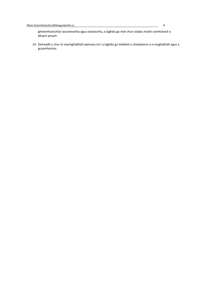ghníomhaíochtaí iascaireachta agus eastósctha, a laghdú go mór chun stádas maith comhshaoil a bhaint amach.

14. Deireadh a chur le seachghabháil speiceas nó í a laghdú go leibhéal a cheadaíonn a n-aisghabháil agus a gcaomhantas.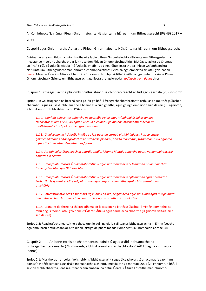An Comhthéacs Náisiúnta - Plean Gníomhaíochta Náisiúnta na hÉireann um Bithéagsúlacht (PGNB) 2017 –

2021

Cuspóirí agus Gníomhartha Ábhartha Phlean Gníomhaíochta Náisiúnta na hÉireann um Bithéagsúlacht

Cuirtear ar áireamh thíos na gníomhartha uile faoin bPlean Gníomhaíochta Náisiúnta um Bithéagsúlacht a meastar go mbeidh ábharthacht ar leith acu don Phlean Gníomhaíochta Áitiúil Bithéagsúlachta do Chontae Lú (PGÁB Lú). Tá Údaráis Áitiúla (nó 'Údaráis Phoiblí' go ginearálta) liostaithe sa Phlean Gníomhaíochta Náisiúnta um Bithéagsúlacht mar 'phríomh-chomhpháirtithe' i leith na ngníomhartha sin atá i gcló-éadan dearg. Meastar Údaráis Áitiúla a bheith ina 'bpríomh-chomhpháirtithe' i leith na ngníomhartha sin sa Phlean Gníomhaíochta Náisiúnta um Bithéagsúlacht atá liostaithe i gcló-éadan *Iodálach trom dearg* thíos.

Cuspóir 1 Bithéagsúlacht a phríomhshruthú isteach sa chinnteoireacht ar fud gach earnála (25 Ghníomh)

Sprioc 1.1: Go dtuigeann na hearnálacha go léir go bhfuil freagracht chomhroinnte orthu as an mbithéagsúlacht a chaomhnú agus as úsáid inbhuanaithe a bhaint as a cuid gnéithe, agus go ngníomhaíonn siad dá réir (18 ngníomh, a bhfuil sé cinn díobh ábhartha do PGÁB Lú)

1.1.2. Bainfidh polasaithe ábhartha na hearnála Poiblí agus Príobháidí úsáid as an deachleachtas in uirlisí SEA, AA agus eile chun a chinntiú go mbíonn machnamh ceart ar an mbithéagsúlacht i bpolasaithe agus pleananna

1.1.3. Gluaiseann na hÚdaráis Phoiblí go léir agus an earnáil phríobháideach i dtreo easpa ghlanchaillteanas bithéagsúlachta trí straitéisí, pleanáil, bearta maolaithe, fritháireamh cuí agus/nó infheistíocht in infreastruchtúr glas/gorm

1.1.4. An saineolas éiceolaíoch in údaráis áitiúla, i Ranna Rialtais ábhartha agus i ngníomhaireachtaí ábhartha a neartú

1.1.5. Déanfaidh Údaráis Áitiúla athbhreithniú agus nuashonrú ar a bPleananna Gníomhaíochta Bithéagsúlachta agus Oidhreachta

1.1.6. Déanfaidh Údaráis Áitiúla athbhreithniú agus nuashonrú ar a bpleananna agus polasaithe Forbartha le go n-áireoidh siad polasaithe agus cuspóirí chun bithéagsúlacht a chosaint agus a athchóiriú

1.1.7. Infreastruchtúr Glas a fhorbairt ag leibhéil áitiúla, réigiúnacha agus náisiúnta agus réitigh dúlrabhunaithe a chur chun cinn chun líonra soiléir agus comhtháite a sholáthar

1.1.8. Leanúint de threoir a tháirgeadh maidir le cosaint na bithéagsúlachta i limistéir ainmnithe, sa mhuir agus faoin tuath i gcoitinne d'Údaráis Áitiúla agus earnálacha ábhartha (is gníomh rialtais láir é seo dáiríre)

Sprioc 1.2: Reachtaíocht neartaithe a thacaíonn le dul i ngleic le caillteanas bithéagsúlachta in Éirinn (seacht ngníomh, nach bhfuil ceann ar bith díobh laistigh de pharaiméadair oibríochtúla Chomhairle Contae Lú)

Cuspóir 2 An bonn eolais do chaomhantas, bainistiú agus úsáid inbhuanaithe na bithéagsúlachta a neartú (24 ghníomh, a bhfuil roinnt ábharthachta do PGÁB Lú ag na cinn seo a leanas)

Sprioc 2.1: Mar thoradh ar eolas faoi sheirbhísí bithéagsúlachta agus éiceachórais tá ár gcumas le caomhnú, bainistíocht éifeachtach agus úsáid inbhuanaithe a chinntiú méadaithe go mór faoi 2021 (24 ghníomh, a bhfuil sé cinn díobh ábhartha, lena n-áirítear ceann amháin ina bhfuil Údaráis Áitiúla liostaithe mar 'phríomh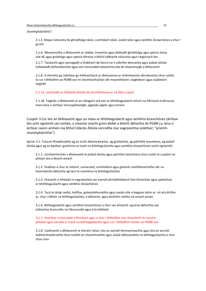chomhpháirtithe')

2.1.3. Mapaí náisiúnta do ghnáthóga talún, cumhdach talún, úsáid talún agus seirbhís éiceachórais a chur i gcrích

2.1.6. Measúnuithe a dhéanamh ar stádas, treochtaí agus dáileadh ghnáthóga agus speicis leasa uile AE agus gnáthóga agus speicis bhreise a bhfuil tábhacht náisiúnta agus réigiúnach leo

2.1.7. Tacaíocht agus spreagadh a thabhairt do líonra na n-oibrithe deonacha agus pobail áitiúla taifeadadh bitheolaíochta agus aon tionscadail eolaíochta eile do shaoránaigh a dhéanamh

2.1.8. A chinntiú go ndírítear go héifeachtach ar dheiseanna ar chómhaoiniú idirnáisiúnta chun cuidiú le cur i bhfeidhm an PGNB seo trí chomhairliúchán idir maoinitheoirí, taighdeoirí agus úsáideoirí taighde

#### 2.1.12. Leanfaidh na hÚdaráis Áitiúla de shuirbhéanna ar na fálta sceach

2.1.18. Taighde a dhéanamh ar an mbagairt atá ann ar bhithéagsúlacht mhuirí na hÉireann ó bhruscar mara lena n-áirítear micreaphlaistigh, aigéadú aigéin agus torann

Cuspóir 3 Cur leis an bhfeasacht agus an meas ar bhithéagsúlacht agus seirbhísí éiceachórais (áirítear leis ocht ngníomh san iomlán, a meastar seacht gcinn díobh a bheith ábhartha do PGÁB Lú, lena náirítear ceann amháin ina bhfuil Údaráis Áitiúla sonraithe mar eagraíochtaí soláthair; "príomhchomhpháirtithe")

Sprioc 3.1: Tuiscint fheabhsaithe ag an lucht déanta beartas, ag gnólachtaí, ag páirtithe leasmhara, ag pobail áitiúla agus ag an bpobal i gcoitinne ar luach na bithéagsúlachta agus seirbhísí éiceachórais (ocht ngníomh)

3.1.1. Comhairliúchán a dhéanamh le pobail áitiúla agus páirtithe leasmhara chun cuidiú le cuspóirí an phlean seo a bhaint amach

3.1.2. Feabhas a chur ar oiliúint, cumarsáid, comhoibriú agus gníomh comhbheartaithe idir na hearnálacha ábhartha ag tacú le caomhnú na bithéagsúlachta

3.1.3. Feasacht a mhéadú in eagraíochtaí san earnáil phríobháideach faoi thionchair agus spleáchais ar bhithéagsúlacht agus seirbhísí éiceachórais

3.1.4. Tacú le táirgí raidió, teilifíse, gréasánbhunaithe agus meáin eile a leagann béim ar, nó atá dírithe ar, chur i láthair na bithéagsúlachta, a tábhacht, agus dúshláin reatha nó amach anseo

3.1.6. Bithéagsúlacht agus seirbhísí éiceachórais a chur san áireamh i gcúrsaí ábhartha san oideachas bunscoile, iar-bhunscoile agus tríú leibhéal

3.1.7. Feachtas cumarsáide a fhorbairt agus a chur i bhfeidhm mar thacaíocht le tuiscint phobail agus earnála ar luach na bithéagsúlachta agus cur i bhfeidhm iomlán an PGNB seo

3.1.8. Caidreamh a dhéanamh le húinéirí talún, leis an earnáil feirmeoireachta agus leis an earnáil dobharshaothraithe chun tairbhí an chaomhnaithe agus úsáid inbhuanaithe na bithéagsúlachta a chur chun cinn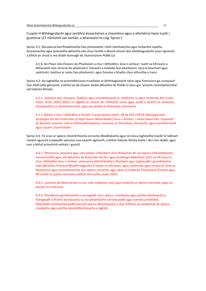Cuspóir 4 Bithéagsúlacht agus seirbhísí éiceachórais a chaomhnú agus a athchóiriú faoin tuath i gcoitinne (27 nGníomh san iomlán, a bhaineann le cúig 'Sprioc')

Sprioc 4.1: Deiseanna barrfheabhsaithe faoi pholasaithe i leith talmhaíochta agus forbartha tuaithe, foraoiseachta agus polasaithe ábhartha eile chun tairbhí a bhaint amach don bhithéagsúlacht (naoi ngníomh, a bhfuil an chuid is mó díobh lasmuigh de shainchúram PGÁB Lú)

4.1.8. An Plean Uile-Éireann do Phailneoirí a chur i bhfeidhm, lena n-áirítear: tuath na hÉireann a dhéanamh níos oiriúnaí do phailneoirí; feasacht a mhéadú faoi phailneoirí; tacú le beachairí agus saothróirí; leathnú ar eolas faoi phailneoirí; agus fianaise a bhailiú chun athruithe a rianú

Sprioc 4.2: Go laghdófaí na príomhbhrúnna truailleáin ar bhithéagsúlacht talún agus fionnuisce go suntasach faoi 2020 (dhá ghníomh, a bhfuil an dá cheann díobh ábhartha do PGÁB Lú toisc gur 'príomh-chomhpháirtithe' iad Údaráis Áitiúla)

4.2.1. Leanúint den chosaint, feabhsú agus monatóireacht ar cháilíocht sa dara timthriall den Creattreoir Uisce (2015-2021) trí laghdú ar rioscaí do cháilíocht uisce agus úsáid a bhaint as saineolas éiceolaíochta sa chinnteoireacht, agus san anailís ar thionchair charnacha

4.2.3. Moltaí a chur i bhfeidhm ó Shraith Tuarascálacha Uimh. 99 de EPA STRIVE (Management Strategies for the Protection of High Status Waterbodies) lena n-áirítear, i measc beart eile: tosaíocht do bhearta cosanta; rialú ar phleanáil/ceadúnú; measúnú ar thionchair charnacha; agus monatóireacht agus cosaint chomhtháite

Sprioc 4.4: Tá srian ar speicis choimhthíocha ionracha dhíobhálacha agus tá riosca laghdaithe maidir le tabhairt isteach agus/nó scaipeadh speiceas nua (seacht ngníomh, a bhfuil Údaráis Áitiúla luaite i dtrí cinn díobh, agus mar a bhfuil príomhról amháin i gceist)

4.4.2. Pleananna náisiúnta agus uile-oileáin a fhorbairt chun Rialachán AE um Speicis Choimhthíocha Ionracha (IAS) agus ailt ábhartha de Rialachán AE (Éin agus Gnáthóga Nádúrtha) 2011 na hÉireann a chur i bhfeidhm lena n-áirítear: pleananna bithshlándála a fhorbairt agus a ghlacadh i gcomhlachtaí stáit ábhartha; Prótacal Mearfhreagartha d'oileán na hÉireann; agus comhordú agus tiomsú ar shonraí faireachais agus monatóireachta faoi speicis ionracha; agus obair le húdaráis Thuaisceart Éireann agus RA maidir le speicis ionracha a bhfuil imní orthu araon fúthu

4.4.3. Leanúint de bhearta don scrios, más indéanta, rialú agus smachtú ar speicis ionracha, agus na bearta sin a bhreisiú

4.4.4. Plandlanna gortóireachta a spreagadh chun speicis, cineálacha agus pórtha dúchasacha a tháirgeadh ó fhoinsí dúchasacha cuí do phlanduithe earnála poiblí agus earnála príobháidí. Déanfaidh comhlachtaí poiblí iarracht speicis dhúchasacha a chur d'fhonn an iompórtáil de speicis, cineálacha agus pórtha neamhdhúchasacha a laghdú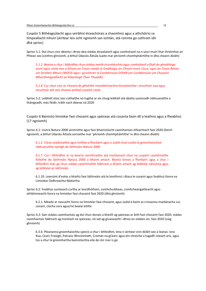Cuspóir 5 Bithéagsúlacht agus seirbhísí éiceachórais a chaomhnú agus a athchóiriú sa timpeallacht mhuirí (áirítear leis ocht ngníomh san iomlán, atá roinnte go cothrom idir dhá sprioc)

Sprioc 5.1: Dul chun cinn déanta i dtreo dea-stádas éiceolaíoch agus comhshaoil na n-uiscí muirí thar thréimhse an Phlean seo (ceithre ghníomh, a bhfuil Údaráis Áitiúla luaite mar phríomh-chomhpháirtithe in dhá cheann díobh)

5.1.2. Bearta a chur i bhfeidhm chun stádas maith éiceolaíochta agus comhshaoil a fháil do ghnáthóga muirí agus cósta mar a éilíonn an Treoir maidir le Gnáthóga, an Chreat-treoir Uisce, agus an Treoir Réime um Straitéis Mhuirí (MSFD) agus i gcomhréir le Coinbhinsiún OSPAR (an Coinbhinsiún um Chosaint Mhuirthimpeallacht an Atlantaigh Thoir Thuaidh)

5.1.4. Cur chun cinn ar chorprú de ghnéithe innealtóireachta éiceolaíochta i struchtúir nua agus struchtúir atá ann cheana amhail cosaintí cósta

Sprioc 5.2: Leibhéil stoic iasc cothaithe nó tugtha ar ais chuig leibhéil atá ábalta uastoradh inbhuanaithe a tháirgeadh, más féidir, tráth nach déanaí ná 2020

Cuspóir 6 Bainistiú limistéar faoi chosaint agus speiceas atá cosanta faoin dlí a leathnú agus a fheabhsú (17 ngníomh)

Sprioc 6.1: Líonra Natura 2000 ainmnithe agus faoi bhainistíocht caomhantais éifeachtach faoi 2020 (Deich ngníomh, a bhfuil Údaráis Áitiúla sonraithe mar 'phríomh-chomhpháirtithe' in dhá cheann díobh)

6.1.2. Córas ceadúnaithe agus toilithe a fhorbairt agus a úsáid chun cuidiú le gníomhaíochtaí inbhuanaithe laistigh de láithreáin Natura 2000

6.1.7. Cur i bhfeidhm ar na bearta caomhnaithe atá riachtanach chun na cuspóirí caomhnaithe foilsithe do láithreáin Natura 2000 a bhaint amach. Bearta breise a fhorbairt agus a chur i bhfeidhm más gá chun stádas caomhnaithe fabhrach a bhaint amach ag leibhéal náisiúnta agus ag leibhéal an láithreáin

6.1.10. Leanúint d'eolas a bhailiú faoi láithreáin atá le breithniú i dtaca le cosaint agus feabhsú líonra na Limistéar Oidhreachta Nádúrtha

Sprioc 6.2: Feabhas suntasach curtha ar leordhóthain, comhchuibheas, comhcheangailteacht agus athléimneacht líonra na limistéar faoi chosaint faoi 2020 (dhá ghníomh)

6.2.1. Méadú ar nascacht líonra na limistéar faoi chosaint, agus úsáid á baint as criosanna maolánacha cuí, conairí, clocha cora agus/nó bealaí eitilte

Sprioc 6.3: Gan stádas caomhantais ag dul chun donais a bheith ag speiceas ar bith faoi chosaint faoi 2020; stádas caomhantais fabhrach ag tromlach na speiceas, nó iad ag gluaiseacht i dtreo an stádais sin, faoi 2020 (cúig ghníomh)

6.3.4. Pleananna gníomhaíochta speicis a chur i bhfeidhm, lena n-áirítear cinn dóibh seo a leanas: Iora Rua, Cearc Fraoigh, Patraisc Bhroinnliath, Cromán na gCearc agus éin chreiche a tugadh isteach arís, agus tús a chur le gníomhartha bainistíochta eile de réir mar is gá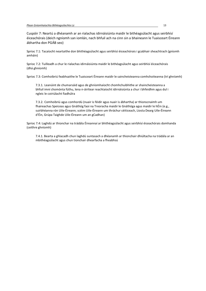Cuspóir 7: Neartú a dhéanamh ar an rialachas idirnáisiúnta maidir le bithéagsúlacht agus seirbhísí éiceachórais (deich ngníomh san iomlán, nach bhfuil ach na cinn sin a bhaineann le Tuaisceart Éireann ábhartha don PGÁB seo)

Sprioc 7.1: Tacaíocht neartaithe don bhithéagsúlacht agus seirbhísí éiceachórais i gcabhair sheachtrach (gníomh amháin)

Sprioc 7.2: Tuilleadh a chur le rialachas idirnáisiúnta maidir le bithéagsúlacht agus seirbhísí éiceachórais (dhá ghníomh)

Sprioc 7.3: Comhoibriú feabhsaithe le Tuaisceart Éireann maidir le saincheisteanna comhchoiteanna (trí ghníomh)

7.3.1. Leanúint de chumarsáid agus de ghníomhaíocht chomhchuibhithe ar shaincheisteanna a bhfuil imní chomónta fúthu, lena n-áirítear reachtaíocht idirnáisiúnta a chur i bhfeidhm agus dul i ngleic le coiriúlacht fiadhúlra

7.3.2. Comhoibriú agus comhordú (nuair is féidir agus nuair is ábhartha) ar thionscnaimh um fhaireachas Speiceas agus Gnáthóg faoi na Treoracha maidir le Gnáthóga agus maidir le hÉin (e.g., suirbhéanna rón Uile-Éireann; scéim Uile-Éireann um thráchur céiticeach, Liosta Dearg Uile-Éireann d'Éin, Grúpa Taighde Uile-Éireann um an gCadhan)

Sprioc 7.4: Laghdú ar thionchar na trádála Éireannaí ar bhithéagsúlacht agus seirbhísí éiceachórais domhanda (ceithre ghníomh)

7.4.1. Bearta a ghlacadh chun laghdú suntasach a dhéanamh ar thionchair dhiúltacha na trádála ar an mbithéagsúlacht agus chun tionchair dhearfacha a fheabhsú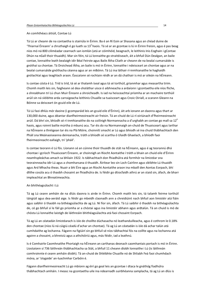#### An comhthéacs áitiúil, Contae Lú

Tá Lú ar cheann de na contaetha is stairiúla in Éirinn. Ba é an Rí Eoin ar Shasana agus an chéad duine de 'Thiarnaí Éireann' a chruthaigh é go luath sa 13<sup>ú</sup> haois. Tá sé ar an gcontae is lú in Éirinn freisin, agus é pas beag níos mó ná 800 ciliméadar cearnach san iomlán (atá ar cóimhéid, beagnach, le leithinis Inis Eoghain i gContae Dhún na nGall thoir thuaidh). Mar sin féin, tá Lú lonnaithe go straitéiseach, áit a bhfuil Dún Dealgan, an baile contae, lonnaithe leath bealaigh idir Béal Feirste agus Baile Átha Cliath ar cheann de na bealaí cumarsáide is gnóthaí sa chontae. Tá Droichead Átha, an baile is mó in Éirinn, lonnaithe i ndeisceart an chontae agus ar na bealaí cumarsáide gnóthacha céanna agus ar an mBóinn. Tá Lú ina láthair rí-inmhianaithe le haghaidh gnólachtaí agus teaghlach araon. Éascaíonn sé rochtain réidh ar an dá chathair is mó ar oileán na hÉireann.

Is contae cósta é Lú. Tríd is tríd, tá sé ar thalamh íseal agus tá sé torthúil, grianmhar agus measartha tirim. Chomh maith leis sin, faigheann sé dea-sholáthar uisce ó aibhneacha a ardaíonn i gcontaetha eile níos fliche, a shreabhann trí Lú chun Muir Éireann a shroicheadh. Is iad na heisceachtaí príomha ar an machaire torthúil arúil sin ná sléibhte arda carraigeacha leithinis Chuaille sa tuaisceart agus Cnoic Oiriall, a scarann Gleann na Bóinne sa deisceart ón gcuid eile de Lú.

Tá Lú faoi dhlús mór daoine (i gcomparáid leis an gcuid eile d'Éirinn), áit arb ionann an daonra agus thart ar 130,000 duine, agus déantar dianfheirmeoireacht air freisin. Tá an-chuid de Lú rí-oiriúnach d'fheirmeoireacht arúil. Dá bhrí sin, bhíodh sé rí-inmhianaithe do na coilínigh Normannacha a d'urghabh an contae go mall sa 12<sup>ú</sup> haois, agus roinnt bailte múrtha á mbunú acu. Tar éis do na Normannaigh an-chuid de Thuaisceart agus Iarthar na hÉireann a thréigean tar éis na Plá Móire, choinnítí smacht ar Lú agus bhíodh sé ina chuid thábhachtach den Pháil sna Meánaoiseanna deireanacha, tráth a bhíodh sé scartha ó Ulaidh Ghaelach, a bhíodh faoi fheirmeoireacht eallaigh, trí 'pháil'.

Is contae teorann é Lú fós. Líonann sé an cúinne thoir thuaidh de stát na hÉireann, agus é ag teorannú dhá chontae i gcríoch Thuaisceart Éireann, ar choinnigh an Ríocht Aontaithe í tráth a bhain an chuid eile d'Éirinn neamhspleáchas amach sa bhliain 1922. Is tábhachtach don fhiadhúlra atá formhór na limistéar sna teorainneacha idir Lú agus a chomharsana ó thuaidh. Áirítear leo sin Loch Cairlinn agus sléibhte Lú thuaidh agus Ard Mhacha theas. Nuair a bhí Éire agus an Ríocht Aontaithe araon ina mbaill den Aontas Eorpach, bhí dlíthe cosúla acu ó thaobh chosaint an fhiadhúlra de. Is féidir go dtiocfaidh athrú ar an staid sin, áfach, de bharr impleachtaí an Bhreatimeachta.

#### An bhithéagsúlacht i Lú

Tá ag Lú ceann amháin de na dlúis daonra is airde in Éirinn. Chomh maith leis sin, tá talamh feirme torthúil táirgiúil agus dea-aeráid aige. Is féidir go mbeidh claonadh ann a chreidiúint nach bhfuil aon limistéir atá fiáin agus saibhir ó thaobh na bithéagsúlachta de ag Lú. Ní fíor sin, áfach. Tá Lú saibhir ó thaobh na bithéagsúlachta de, cé go bhfuil sí le fáil go príomha ar a chóstaí agus ina limistéir abhann agus ardtalún. Tá an chuid is mó de chósta Lú lonnaithe laistigh de láithreáin bhithéagsúlachta atá faoi chosaint Eorpach.

Tá ag Lú an céatadán limistéarach is ísle de choillte dúchasacha nó leathanduilleacha, agus é cothrom le 0.18% den chontae (níos lú ná cúigiú céadú d'achar an chontae). Tá ag Lú an céatadán is ísle dá achar talún atá cumhdaithe ag lochanna. Fágann na figiúirí sin go bhfuil sé níos tábhachtaí fós na coillte agus na lochanna atá againn a chosaint, a bhreisiú agus a athchóiriú agus, más féidir, iad a leathnú.

Is é Comhairle Caomhnaithe Phortaigh na hÉireann an carthanas deonach caomhantais portach is mó in Éirinn. Liostaíonn sí 736 láithreán thábhachtacha sa Stát, a bhfuil 11 cheann díobh lonnaithe i Lú (is láithreán comhroinnte é ceann amháin díobh). Tá an-chuid de Shléibhte Chuaille nó de Shliabh Feá faoi chumhdach móna, ar 'slogaide' an-luachmhar Carbóin é.

Fágann dianfheirmeoireacht Lú go mbíonn ag éirí go geal leis an gcontae i dtaca le gnáthóg fiadhúlra thábhachtach amháin. I measc na gcontaetha uile ina ndearnadh suirbhéanna samplacha, tá ag Lú an dlús is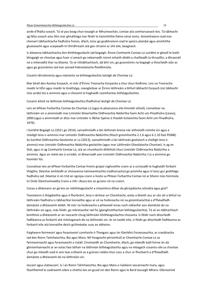#### Plean Gníomhaíochta Bithéagsúlachta Lú 15

airde d'fhálta sceach. Tá sé pas beag chun tosaigh ar Mhuineachán, contae atá comharsanach leis. Tá tábhacht ag fálta sceach astu féin mar ghnáthóga inar féidir le hainmhithe fiáine cónaí iontu. Gníomhaíonn siad mar chonairí tábhachtacha fiadhúlra freisin, áfach, toisc go gcabhraíonn siad le speicis plandaí agus ainmhithe gluaiseacht agus scaipeadh trí thírdhreach atá gan chrainn ar shlí eile, beagnach.

Is áiteanna tábhachtacha don bhithéagsúlacht iad bogaigh. Rinne Comhairle Contae Lú suirbhé ar gheall le leath bhogaigh an chontae agus fuair sí amach go ndearnadh roinnt mhaith díobh a chailleadh (a thruailliú, a dhraenáil nó a inlíonadh) thar na blianta. Tá sé ríthábhachtach, dá bhrí sin, go gcosnóimis na bogaigh a thiocfaidh slán as agus go gcosnóimis iad mar aonaid hidreolaíocha fheidhmiúla.

Cosaint idirnáisiúnta agus náisiúnta na bithéagsúlachta laistigh de Chontae Lú

Mar bhall den Aontas Eorpach, ní mór d'Éirinn Treoracha Eorpacha a chur chun feidhme. Leis na Treoracha maidir le hÉin agus maidir le Gnáthóga, ceanglaítear ar Éirinn láithreáin a bhfuil tábhacht Eorpach (nó tábhacht níos airde) leo a ainmniú agus a chosaint le haghaidh caomhantas bithéagsúlachta.

Cosaint áitiúil na láithreán bithéagsúlachta (fiadhúlra) laistigh de Chontae Lú

Leis an bPlean Forbartha Contae do Chontae Lú (agus le pleananna eile limistéir áitiúil), cosnaítear na láithreáin sin a ainmníodh mar Limistéir bheartaithe Oidhreachta Nádúrtha faoin Acht um Fhiadhúlra (Leasú), 2000 (agus a ainmníodh ar dtús mar Limistéir is Ábhar Spéise ó thaobh Eolaíochta faoin Acht um Fhiadhúlra, 1976).

I Suirbhé Bogaigh Lú (2011 go 2014), sainaithníodh a lán láithreán breise nár aithníodh roimhe sin agus a cháiligh lena n-ainmniú mar Limistéir Oidhreachta Nádúrtha (féach gníomhartha 2.1.6 agus 6.1.10 faoi PGNB). Sa Suirbhé Oidhreachta Geolaíche ar Lú (2013), sainaithníodh a lán láithreán geolaíoch a cháiligh lena nainmniú mar Limistéir Oidhreachta Nádúrtha geolaíche (agus mar Láithreáin Gheolaíocha Chontae). Is ag an Stát, agus ní ag Comhairle Contae Lú, atá an chumhacht dhlíthiúil chun Limistéir Oidhreachta Nádúrtha a ainmniú. Agus an méid seo á scríobh, ní dhearnadh aon Limistéir Oidhreachta Nádúrtha i Lú a ainmniú go hiomlán fós.

Cosnaítear leis an bPlean Forbartha Contae freisin grúpaí roghnaithe crann ar a scriosadh le haghaidh forbairt thógtha. Déantar amhlaidh ar chúiseanna taitneamhachta (radharcacha) go príomha agus ní toisc gur gnáthóga fiadhúlra iad. Déantar é sin tríd an ngrúpa crann a liostú sa Phlean Forbartha Contae nó ar bhonn níos foirmiúla trí Ordú Slánchoimeádta Crann a rith i dtaca leis an gcrann nó na crainn.

Conas a dhéanann an gá leis an mbithéagsúlacht a chaomhnú difear do ghrúpálacha sóisialta agus gnó?

Teastaíonn ó thógálaithe agus ó fhorbróirí, lena n-áirítear an Chomhairle, eolas a bheith acu ar cén áit a bhfuil na láithreáin fiadhúlra is tábhachtaí lonnaithe agus ar cé na hoibreacha nó na gníomhaíochtaí a d'fhéadfadh damáiste a dhéanamh dóibh. Ní mór na hoibreacha a phleanáil ionas nach ndéanfar aon damáiste do na láithreáin sin agus, más féidir, go mbreiseofar iad fiú (glanghnóthachan bithéagsúlachta). Tá sé an-tábhachtach breithniú a dhéanamh ar an nascacht chuig láithreáin bhithéagsúlachta chosanta. Is féidir nach dtiocfaidh fadhbanna as forbairtí atá ríchóngarach do na láithreáin sin. Ar an taobh eile, is féidir go dtiocfaidh fadhbanna as forbairtí eile atá lonnaithe deich gciliméadar suas an abhainn.

Faigheann feirmeoirí agus foraoiseoirí comhairle ó Theagasc agus ón tSeirbhís Foraoiseachta, ar craobhacha iad den Roinn Talmhaíochta, Bia agus Mara. Níl freagracht phríomhúil ar Chomhairle Contae Lú as feirmeoireacht agus foraoiseacht a rialáil. Cinnteoidh an Chomhairle, áfach, go mbeidh baill foirne ón dá ghníomhaireacht ar an eolas faoi láthair na láithreán bithéagsúlachta agus na mbogach cosanta uile sa chontae chun go mbeidh siad in ann leas a bhaint as a gcórais rialála chun cosc a chur ar fhorbairtí a d'fhéadfadh damáiste a dhéanamh do na láithreáin sin.

Iascairí agus slatiascairí. Is í an Roinn Talmhaíochta, Bia agus Mara a rialálann iascaireacht mara, agus féachfaimid le caidreamh oibre a chothú leis an gcuid sin den Roinn agus le Bord Iascaigh Mhara. Oibreoimid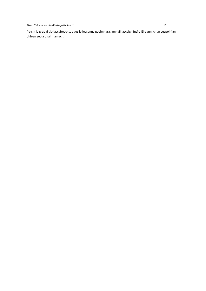freisin le grúpaí slatiascaireachta agus le leasanna gaolmhara, amhail Iascaigh Intíre Éireann, chun cuspóirí an phlean seo a bhaint amach.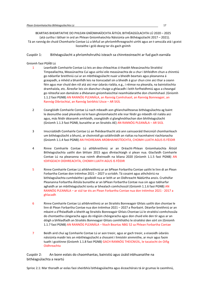BEARTAIS BHEARTAITHE DO PHLEAN GNÍOMHAÍOCHTA ÁITIÚIL BITHÉAGSÚLACHTA LÚ 2020 – 2025 (atá curtha i láthair in ord an Phlean Gníomhaíochta Náisiúnta um Bithéagsúlacht 2017 – 2021). Tá an rannóg de chuid Chomhairle Contae Lú a bhfuil an phríomhfhreagracht uirthi agus an t-amscála atá i gceist liostaithe i gcló dearg tar éis gach gnímh

Cuspóir 1: Bithéagsúlacht a phríomhshruthú isteach sa chinnteoireacht ar fud gach earnála

## Gníomh faoi PGÁB Lú

- 1 Leanfaidh Comhairle Contae Lú leis an dea-chleachtas ó thaobh Measúnachta Straitéisí Timpeallachta, Measúnachta Cuí agus uirlisí eile measúnachta de a chur i bhfeidhm chun a chinntiú go ndéanfar breithniú cuí ar an mbithéagsúlacht nuair a bheidh beartais agus pleananna á gceapadh, a mhéid a bhainfidh leis na tionscadail sin a bheidh á gcur chun cinn aici thar a ceann féin agus mar chuid den ról atá aici mar údarás rialála, e.g., i réimse na pleanála, na bainistíochta dramhaíola, etc. Áireofar leis sin dianchur chuige a ghlacadh i leith forfheidhmiú agus a cheangal go réiteofaí aon damáiste a dhéanann gníomhaíochtaí neamhúdaraithe don chomhshaol. (Gníomh 1.1.2 faoi PGNB) AN RANNÓG PLEANÁLA, an Rannóg Comhshaoil, an Rannóg Bonneagair, an Rannóg Oibríochtaí, an Rannóg Seirbhísí Uisce – AR SIÚL
- 2 Ceanglóidh Comhairle Contae Lú nach mbeadh aon ghlanchaillteanas bithéagsúlachta ag baint le deonuithe cead pleanála ná le haon ghníomhaíocht eile inar féidir go mbeidh ról rialála aici agus, más féidir déanamh amhlaidh, ceanglóidh sí glanghnóthachan don bhithéagsúlacht (Gníomh 1.1.3 faoi PGNB, bunaithe ar an Straitéis AE) AN RANNÓG PLEANÁLA – AR SIÚL
- 3 Imscrúdóidh Comhairle Contae Lú an fhéidearthacht atá ann sainsaoráid theicniúil chomhairleach um bithéagsúlacht a bhunú, ar choinníoll go soláthróidh an rialtas na hacmhainní riachtanacha (Gníomh 1.1.4 faoi PGNB) AN FHOIREANN ARDBHAINISTÍOCHTA, CHOMH LUATH AGUS IS FÉIDIR
- 4 Rinne Comhairle Contae Lú athbhreithniú ar an Dréacht-Phlean Gníomhaíochta Áitiúil Bithéagsúlachta uaithi don bhliain 2015 agus dhréachtaigh sí plean nua. Glacfaidh Comhairle Contae Lú na pleananna nua roimh dheireadh na bliana 2020 (Gníomh 1.1.5 faoi PGNB) AN tOIFIGEACH OIDHREACHTA, CHOMH LUATH AGUS IS FÉIDIR
- 5 Rinne Comhairle Contae Lú athbhreithniú ar an bPlean Forbartha Contae uaithi le linn di an Plean Forbartha Contae don tréimhse 2021 – 2027 a scríobh. Tá cosaint agus athchóiriú na bithéagsúlachta cumhdaithe i gcaibidil nua ar leith ar an Oidhreacht Nádúrtha anois. Cruthófar Pleananna Forbartha Áitiúla bunaithe ar an bPlean Forbartha Contae nua sin agus tabharfar aghaidh ar an mbithéagsúlacht iontu ar bhealach comhchosúil (Gníomh 1.1.6 faoi PGNB) AN RANNÓG PLEANÁLA – ar siúl tar éis an Plean Forbartha Contae nua don tréimhse 2021 - 2017 a ghlacadh
- 6 Rinne Comhairle Contae Lú athbhreithniú ar an Straitéis Bonneagair Ghlais uaithi don chontae le linn di Plean Forbartha Contae nua don tréimhse 2021 – 2027 a fhorbairt. Déanfar breithniú ar an mbaint a d'fhéadfadh a bheith ag Straitéis Bonneagair Ghlais Chontae Lú le straitéisí comhchosúla do chontaetha cóngaracha agus do réigiúin chóngaracha agus don chuid eile den tír agus ar an dóigh a bhféadfadh an Straitéis Bonneagair Ghlais comhtháthú le straitéisí den sórt sin (Gníomh 1.1.7 faoi PGNB) AN RANNÓG PLEANÁLA – féach Beartas NBG 52 sa Phlean Forbartha Contae
- 7 Beidh aird chuí ag Comhairle Contae Lú ar aon treoir, agus ar gach treoir, a eiseoidh údaráis náisiúnta maidir leis an mbithéagsúlacht a chosaint i limistéir ainmnithe, ar muir agus faoin tuath i gcoitinne (Gníomh 1.1.8 faoi PGNB) GACH RANNÓG THEICNIÚIL, le tacaíocht ón Oifig **Oidhreachta**

Cuspóir 2: An bonn eolais do chaomhantas, bainistiú agus úsáid inbhuanaithe na bithéagsúlachta a neartú

Sprioc 2.1: Mar thoradh ar eolas faoi sheirbhísí bithéagsúlachta agus éiceachórais tá ár gcumas le caomhnú,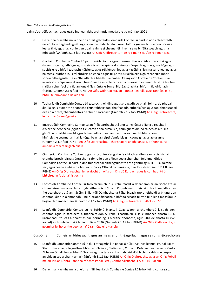bainistíocht éifeachtach agus úsáid inbhuanaithe a chinntiú méadaithe go mór faoi 2021

- 8 De réir na n-acmhainní a bheidh ar fáil, glacfaidh Comhairle Contae Lú páirt in aon chleachtadh náisiúnta le haghaidh gnáthóga talún, cumhdach talún, úsáid talún agus seirbhísí éiceachórais a léarscáiliú, agus í ag cur leis an obair a rinne sí cheana féin i réimse na bhfálta sceach agus na mbogach (Gníomh 2.1.3 faoi PGNB) An Oifig Oidhreachta – de réir mar is cuí/de réir mar is gá
- 9 Glacfaidh Comhairle Contae Lú páirt i suirbhéanna agus measúnuithe ar stádas, treochtaí agus dáileadh gach gnáthóige agus speicis is ábhar spéise don Aontas Eorpach agus ar ghnáthóga agus speicis eile a bhfuil tábhacht náisiúnta agus réigiúnach leo agus tacóidh sí leis na suirbhéanna agus na measúnuithe sin. Is trí phróisis phleanála agus trí phróisis rialála eile a ghintear cuid mhór sonraí bithéagsúlachta a d'fhéadfadh a bheith luachmhar. Ceanglóidh Comhairle Contae Lú ar iarratasóirí cóipeanna d'aon mheasúnuithe éiceolaíocha arna n-iarraidh aici mar chuid dá feidhm rialála a chur faoi bhráid an Ionaid Náisiúnta le Sonraí Bithéagsúlachta i bhformáid oiriúnach freisin. (Gníomh 2.1.6 faoi PGNB) An Oifig Oidhreachta, an Rannóg Pleanála agus rannóga eile a bhfuil feidhmeanna rialála acu
- 10 Tabharfaidh Comhairle Contae Lú tacaíocht, oiliúint agus spreagadh do bhaill foirne, do phobail áitiúla agus d'oibrithe deonacha chun tabhairt faoi thaifeadadh bitheolaíoch agus faoi thionscadail eile eolaíochta/chaomhantais de chuid saoránach (Gníomh 2.1.7 faoi PGNB) An Oifig Oidhreachta, le comhar ó rannóga eile
- 11 Imscrúdóidh Comhairle Contae Lú an fhéidearthacht atá ann sainchúrsaí oiliúna a reáchtáil d'oibrithe deonacha (agus an t-éileamh ar na cúrsaí sin) chun gur féidir leo saineolas áitiúil a ghnóthú i suirbhéireacht agus taifeadadh a dhéanamh ar thacsóin nach bhfuil chomh hinfheicthe céanna, amhail ialtóga, beacha, reiptílí/amfaibiaigh, caonaigh agus aelusanna (Gníomh 2.1.7 faoi PGNB). An Oifig Oidhreachta – thar shaolré an phlean seo, d'fhonn cúrsa amháin a reáchtáil gach bliain
- 12 Cinnteoidh Comhairle Contae Lú go spriocdhíreofar go héifeachtach ar dheiseanna cistiúcháin chomhoibríoch idirnáisiúnta chun cabhrú leis an bPlean seo a chur chun feidhme. Ghlac Comhairle Contae Lú páirt in dhá thionscadal bithéagsúlachta arna gcistiú ag INTERREG roimhe seo, agus ceann amháin díobh faoi stiúir ag Ollscoil na Banríona, Béal Feirste (Gníomh 2.1.8 faoi PGNB) An Oifig Oidhreachta, le tacaíocht ón oifig um Chistiú Eorpach agus le comhaontú ón bhFoireann Ardbhainistíochta
- 13 Forbróidh Comhairle Contae Lú treoirscéim chun suirbhéireacht a dhéanamh ar an riocht atá ar chiumhaiseanna agus fálta roghnaithe cois bóthair. Chomh maith leis sin, breithneoidh sí an fhéidearthacht atá ann Scéim Bhliantúil Dámhachtana Fálta Sceach (nó a leithéid) a bhunú don chontae, áit a n-ainmneodh úinéirí príobháideacha a bhfálta sceach feirme féin lena measúnú le haghaidh dámhachtainí (Gníomh 2.1.12 faoi PGNB) An Oifig Oidhreachta – 2021 - 2022
- 14 Leanfaidh Comhairle Contae Lú le Suirbhé bliantúil CoastWatch a chomhordú laistigh den chontae agus le tacaíocht a thabhairt don Suirbhé. Féachfaidh sí le cumhdach chósta Lú a uasmhéadú trí leas a bhaint as baill foirne agus oibrithe deonacha, agus 20% de chósta Lú (52 aonad) á chumhdach aici faoin mbliain 2026 (Gníomh 2.1.18 faoi PGNB) An Oifig Oidhreachta, i gcomhar le 'hoibrithe deonacha' ó rannóga eile – ar siúl

Cuspóir 3: Cur leis an bhfeasacht agus an meas ar bhithéagsúlacht agus seirbhísí éiceachórais

- 15 Leanfaidh Comhairle Contae Lú le dul i dteagmháil le pobail áitiúla (e.g., scoileanna, grúpaí Bailte Slachtmhara) agus le geallsealbhóirí áitiúla (e.g., Slatiascairí, Cumann Dobharcheantar agus Cósta Abhainn Oiriall, Iontaobhas Dúlra Lú) agus le tacaíocht a thabhairt dóibh chun cabhrú le cuspóirí an phlean seo a bhaint amach (Gníomh 3.1.1 faoi PGNB) An Oifig Oidhreachta agus an Oifig Pobail maidir leis an Líonra Rannpháirtíochta Pobail, etc., Comhpháirtíocht LEADER Lú – ar siúl
- 16 De réir na n-acmhainní a bheidh ar fáil, leanfaidh Comhairle Contae Lú le hoiliúint, cumarsáid,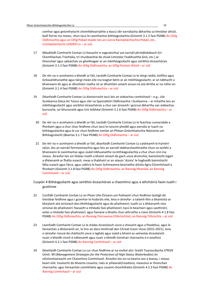comhar agus gníomhaíocht chomhbheartaithe a éascú idir earnálacha ábhartha sa limistéar áitiúil, baill foirne ina measc, chun tacú le caomhantas bithéagsúlachta (Gníomh 3.1.2 faoi PGNB) An Oifig Oidhreachta agus an Oifig Pobail maidir leis an Líonra Rannpháirtíochta Pobail, etc., Comhpháirtíocht LEADER Lú – ar siúl

- 17 Méadóidh Comhairle Contae Lú feasacht in eagraíochtaí san earnáil phríobháideach (trí Chomhlachais Tráchtála, trí chuideachtaí de chuid Limistéar Feabhsaithe Gnó, etc.) ar thionchair agus spleáchais an gheilleagair ar an mbithéagsúlacht agus seirbhísí éiceachórais (Gníomh 3.1.3 faoi PGNB) An Oifig Oidhreachta, an Oifig Fiontair Áitiúil – ar siúl
- 18 De réir na n-acmhainní a bheidh ar fáil, tacóidh Comhairle Contae Lú le táirgí raidió, teilifíse agus Gréasánbhunaithe agus táirgí meán eile ina leagtar béim ar an mbithéagsúlacht, ar an tábhacht a bhaineann léi agus ar dhúshláin reatha nó ar dhúshláin amach anseo nó atá dírithe ar na nithe sin (Gníomh 3.1.4 faoi PGNB) An Oifig Oidhreachta – ar siúl
- 19 Déanfaidh Comhairle Contae Lú dianiarracht tacú leis an oideachas comhshaoil e.g., clár Scoileanna Glasa An Taisce agus clár na Speisialtóirí Oidhreachta i Scoileanna – ar mhaithe leis an mbithéagsúlacht agus seirbhísí éiceachórais a chur san áireamh i gcúrsaí ábhartha san oideachas bunscoile, iar-bhunscoile agus tríú leibhéal (Gníomh 3.1.6 faoi PGNB) An Oifig Oidhreachta – ar siúl
	- 20 De réir na n-acmhainní a bheidh ar fáil, tacóidh Comhairle Contae Lú le feachtas cumarsáide a fhorbairt agus a chur chun feidhme chun tacú le tuiscint phoiblí agus earnála ar luach na bithéagsúlachta agus le cur chun feidhme iomlán an Phlean Gníomhaíochta Náisiúnta um Bithéagsúlacht (Beartas 3.1.7 faoi PGNB) An Oifig Oidhreachta – ar siúl
	- 21 De réir na n-acmhainní a bheidh ar fáil, déanfaidh Comhairle Contae Lú caidreamh le húinéirí talún, leis an earnáil feirmeoireachta agus leis an earnáil dobharshaothraithe chun na tairbhí a bhaineann le caomhantas agus úsáid inbhuanaithe na bithéagsúlachta a chur chun cinn ina measc. Áireofar leis sin Stádas maith a bhaint amach do gach uisce dromchla, bainistíocht íogair a dhéanamh ar fhálta sceach, meas a thabhairt ar an séasúr 'dúnta' le haghaidh bainistíocht fálta sceach agus fásra, agus cabhrú le haon Scéimeanna beartaithe áitiúla Agra-Chomhshaoil a fhorbairt (Gníomh 3.1.8 faoi PGNB) An Oifig Oidhreachta, an Rannóg Pleanála, an Rannóg Comhshaoil – ar siúl

Cuspóir 4 Bithéagsúlacht agus seirbhísí éiceachórais a chaomhnú agus a athchóiriú faoin tuath i gcoitinne

- 22 Cuirfidh Comhairle Contae Lú an Plean Uile-Éireann um Pailneoirí chun feidhme laistigh dá limistéar feidhme agus i gcomhar le húdaráis eile, lena n-áireofar: a talamh féin a bhainistiú ar bhealach atá oiriúnach don bhithéagsúlacht agus do phailneoirí; tuath Lú a dhéanamh níos oiriúnaí do phailneoirí; feasacht a mhéadú faoi phailneoirí; tacú le beachairí agus saothróirí; eolas a mhéadú faoi phailneoirí; agus fianaise a bhailiú chun athruithe a rianú (Gníomh 4.1.8 faoi PGNB) An Oifig Oidhreachta, an Rannóg Páirceanna (Oibríochtaí), an Rannóg Tithíochta – ar siúl
- 23 Leanfaidh Comhairle Contae Lú le stádas éiceolaíoch uisce a chosaint agus a fheabhsú, agus le faireachán a dhéanamh air, le linn an dara timthriall den Chreat-treoir Uisce (2015-2021), lena n-áireofar rioscaí do cháilíocht uisce a laghdú agus úsáid a bhaint as saineolas éiceolaíoch nuair a bheidh cinntí á ndéanamh agus nuair a bheidh tionchair charnacha á n-anailísiú (Gníomh 4.2.1 faoi PGNB) An Rannóg Comhshaoil – ar siúl
- 24 Déanfaidh Comhairle Contae Lú cur chun feidhme ar na moltaí atá i Sraith Tuarascálacha STRIVE Uimh. 99 (Management Strategies for the Protection of High Status Waterbodies) ón nGníomhaireacht um Chaomhnú Comhshaoil. Áireofar leo sin na bearta seo a leanas, i measc beart eile: tosaíocht do bhearta cosanta; rialú ar phleanáil/ceadúnú; measúnú ar thionchair charnacha; agus faireachán comhtháite agus cosaint chomhtháite (Gníomh 4.2.3 faoi PGNB) An Rannóg Comhshaoil – ar siúl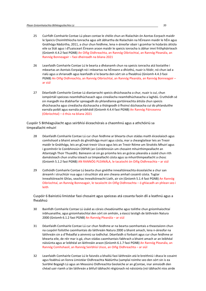- 25 Cuirfidh Comhairle Contae Lú plean contae le chéile chun an Rialachán ón Aontas Eorpach maidir le Speicis Choimhthíocha Ionracha agus ailt ábhartha de Rialacháin na hÉireann maidir le hÉin agus Gnáthóga Nádúrtha, 2011, a chur chun feidhme, lena n-áireofar obair i gcomhar le húdaráis áitiúla eile sa Stát agus i dTuaisceart Éireann araon maidir le speicis ionracha is ábhar imní frithpháirteach (Gníomh 4.4.2 faoi PGNB) An Oifig Oidhreachta, an Rannóg Oibríochtaí, an Rannóg Pleanála, an Rannóg Bonneagair – faoi dheireadh na bliana 2021
- 26 Leanfaidh Comhairle Contae Lú le bearta a dhéanamh chun na speicis ionracha atá liostaithe i mbeartas an Aontais Eorpaigh nó i mbeartas na hÉireann a dhíothú, nuair is féidir, nó chun iad a rialú agus a shrianadh agus leanfaidh sí le bearta den sórt sin a fheabhsú (Gníomh 4.4.3 faoi PGNB) An Oifig Oidhreachta, an Rannóg Oibríochtaí, an Rannóg Pleanála, an Rannóg Bonneagair – ar siúl
- 27 Déanfaidh Comhairle Contae Lú dianiarracht speicis dhúchasacha a chur, nuair is cuí, chun iompórtáil speiceas neamhdhúchasach agus cineálacha neamhdhúchasacha a laghdú. Cruthóidh sé sin margadh ina dtabharfar spreagadh do phlandlanna gortóireachta áitiúla chun speicis dhúchasacha agus cineálacha dúchasacha a tháirgeadh ó fhoinsí dúchasacha cuí do phlanduithe earnála poiblí agus earnála príobháidí (Gníomh 4.4.4 faoi PGNB) An Rannóg Páirceanna (Oibríochtaí) – ó thús na bliana 2021

Cuspóir 5 Bithéagsúlacht agus seirbhísí éiceachórais a chaomhnú agus a athchóiriú sa timpeallacht mhuirí

- 28 Déanfaidh Comhairle Contae Lú cur chun feidhme ar bhearta chun stádas maith éiceolaíoch agus comhshaoil a bhaint amach do ghnáthóga muirí agus cósta, mar a cheanglaítear leis an Treoir maidir le Gnáthóga, leis an gCreat-treoir Uisce agus leis an Treoir Réime um Straitéis Mhuirí agus i gcomhréir le Coinbhinsiún OSPAR (an Coinbhinsiún um chosaint mhuirthimpeallacht an Atlantaigh Thoir Thuaidh). Baineann sé sin go príomha leis an gcóras pleanála a úsáid chun rith damáisteach chun srutha isteach sa timpeallacht cósta agus sa mhuirthimpeallacht a chosc (Gníomh 5.1.2 faoi PGNB) AN RANNÓG PLEANÁLA, le tacaíocht ón Oifig Oidhreachta – ar siúl
- 29 Cothóidh Comhairle Contae Lú bearta chun gnéithe innealtóireachta éiceolaíche a chur san áireamh i struchtúir nua agus i struchtúir atá ann cheana amhail cosaintí cósta. Tugtar Innealtóireacht Ghlas, seachas Innealtóireacht Liath, air sin (Gníomh 5.1.4 faoi PGNB) An Rannóg Oibríochtaí, an Rannóg Bonneagair, le tacaíocht ón Oifig Oidhreachta – ó ghlacadh an phlean seo i leith

Cuspóir 6 Bainistiú limistéar faoi chosaint agus speiceas atá cosanta faoin dlí a leathnú agus a fheabhsú

- 30 Bainfidh Comhairle Contae Lú úsáid as córais cheadúnaithe agus toilithe chun gníomhaíochtaí inbhuanaithe, agus gníomhaíochtaí den sórt sin amháin, a éascú laistigh de láithreáin Natura 2000 (Gníomh 6.1.2 faoi PGNB) An Rannóg Pleanála – ar siúl
- 31 Déanfaidh Comhairle Contae Lú cur chun feidhme ar na bearta caomhantais a theastaíonn chun na cuspóirí foilsithe caomhantais do láithreáin Natura 2000 a bhaint amach, lena n-áireofar na láithreáin sin a d'fhéadfaí a ainmniú sa todhchaí. Déanfaidh sí forbairt agus cur chun feidhme ar bhearta eile, de réir mar is gá, chun stádas caomhantais fabhrach a bhaint amach ar an leibhéal náisiúnta agus ar leibhéal an láithreáin araon (Gníomh 6.1.7 faoi PGNB) An Rannóg Pleanála, an Rannóg Comhshaoil, an Rannóg Seirbhísí Uisce, an Oifig Oidhreachta – ar siúl
- 32 Leanfaidh Comhairle Contae Lú le faisnéis a bhailiú faoi láithreáin atá le breithniú i dtaca le cosaint agus feabhsú an líonra Limistéar Oidhreachta Nádúrtha (samplaí roimhe seo den sórt sin is ea Suirbhé Bogaigh Lú agus an Measúnú Oidhreachta Geolaíche ar an gContae, inar aimsíodh den chéad uair riamh a lán láithreán a bhfuil tábhacht réigiúnach nó náisiúnta (nó tábhacht níos airde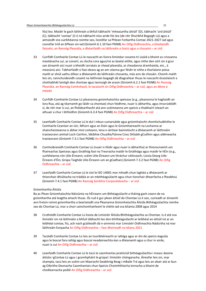fós) leo. Maidir le gach láithreán a bhfuil tábhacht 'mheasartha áitiúil' (D), tábhacht 'ard áitiúil' (C), tábhacht 'contae' (C+) nó tábhacht níos airde fós leo (de réir Shuirbhé Bogaigh Lú) agus a aimsíodh sna suirbhéanna roimhe seo, liostófar sa Phlean Forbartha Contae 2021-2027 iad agus cosnófar tríd an bPlean sin iad (Gníomh 6.1.10 faoi PGNB) An Oifig Oidhreachta, a bhaileoidh faisnéis; an Rannóg Pleanála, a dhéanfaidh na láithreáin a liostú agus a chosaint – ar siúl

- 33 Cuirfidh Comhairle Contae Lú le nascacht an líonra limistéar cosanta trí úsáid a bhaint as criosanna maolánacha cuí, as conairí, as clocha cora agus/nó as bealaí eitilte, agus nithe den sórt sin á gcur san áireamh aici nuair a bheidh iarratais ar chead pleanála, ar cheadanna dramhaíola, etc., á measúnú aici. Tabharfaidh sí faoi deara ag an am céanna gur féidir le nithe a tharlaíonn píosa maith ar shiúl uathu difear a dhéanamh do láithreáin chosanta, más ann do chosáin. Chomh maith leis sin, rannchuideoidh cosaint na láithreán bogaigh dá dtagraítear thuas le nascacht éiceolaíoch a chothabháil laistigh den chontae agus lasmuigh de araon (Gníomh 6.2.1 faoi PGNB) An Rannóg Pleanála, an Rannóg Comhshaoil, le tacaíocht ón Oifig Oidhreachta – ar siúl, agus an déine á méadú
- 34 Cuirfidh Comhairle Contae Lú pleananna gníomhaíochta speiceas (e.g., pleananna le haghaidh an Iora Rua, atá ag téarnamh go láidir sa chontae) chun feidhme, nuair is ábhartha, agus imscrúdóidh sí, de réir mar is cuí, an fhéidearthacht atá ann scéimeanna um speicis a thabhairt isteach an athuair a chur i bhfeidhm (Gníomh 6.3.4 faoi PGNB) An Oifig Oidhreachta – ar siúl
- 35 Leanfaidh Comhairle Contae Lú le dul i mbun cumarsáide agus gníomhaíocht chomhchuibhithe le Comhairle Ceantair an Iúir, Mhúrn agus an Dúin agus le Gníomhaireacht na Lochanna ar shaincheisteanna is ábhar imní coiteann, lena n-áirítear bainistíocht a dhéanamh ar láithreáin trasteorann amhail Loch Cairlinn, Sléibhte Chuaille/Fáinne Cnoc Shliabh gCuillinn agus aibhneacha trasteorann (Gníomh 7.3.1 faoi PGNB) An Oifig Oidhreachta – ar siúl
- 36 Comhoibreoidh Comhairle Contae Lú (nuair is féidir agus nuair is ábhartha) ar thionscnaimh um fhaireachas Speiceas agus Gnáthóg faoi na Treoracha maidir le Gnáthóga agus maidir le hÉin (e.g., suirbhéanna rón Uile-Éireann; scéim Uile-Éireann um thráchur céiticeach; Liosta Dearg Uile-Éireann d'Éin; Grúpa Taighde Uile-Éireann um an gCadhan) (Gníomh 7.3.2 faoi PGNB) An Oifig Oidhreachta – ar siúl
- 37 Leanfaidh Comhairle Contae Lú le cloí le ISO 14001 mar mhodh chun laghdú a dhéanamh ar thionchair dhiúltacha na trádála ar an mbithéagsúlacht agus chun tionchair dhearfacha a fheabhsú (Gníomh 7.4.1 faoi PGNB) An Rannóg Seirbhísí Corparáideacha – ar siúl

#### Gníomhartha Áitiúla

Ba as Plean Gníomhaíochta Náisiúnta na hÉireann um Bithéagsúlacht a tháinig gach ceann de na gníomhartha atá leagtha amach thuas. Ós rud é gur plean áitiúil do Chontae Lú é seo, cuireadh ar áireamh ann freisin roinnt gníomhartha a beartaíodh sna Pleananna Gníomhaíochta Áitiúla Bithéagsúlachta roimhe seo do Chontae Lú, mar a chuir sainchomhairleoirí le chéile iad sna blianta 2008 agus 2014

- 38 Cruthóidh Comhairle Contae Lú liosta de Limistéir Áitiúla Bhithéagsúlachta sa Chontae. Is é atá sna limistéir sin ná láithreáin a bhfuil tábhacht leo don bhithéagsúlacht ar leibhéal an-áitiúil nó ar an leibhéal contae, fiú, ach nach gcáileodh dá n-ainmniú mar Limistéir Oidhreachta Nádúrtha ná mar láithreáin Eorpacha An Oifig Oidhreachta – faoi dheireadh na bliana 2021
- 39 Tacóidh Comhairle Contae Lú leis an tsuirbhéireacht ar ialtóga agus ar éin de speicis éagsúla agus le boscaí fara ialtóg agus boscaí neadaireachta éan a dhéanamh agus a chur in airde, nuair is cuí An Oifig Oidhreachta – ar siúl
- 40 Leanfaidh Comhairle Contae Lú le tacú le caomhantas praiticiúil bithéagsúlachta i measc daoine áitiúla i gContae Lú agus i gcomhpháirt le grúpaí i limistéir chóngaracha. Áireofar leis sin, mar shampla, tacú leis an scéim um Maoracht Geabhróg Beag i mBaile Trá agus leis an obair atá ar bun ag Oibrithe Deonacha Caomhantais chun Speicis Choimhthíocha Ionracha a bhaint de choillearnacha poiblí An Oifig Oidhreachta – ar siúl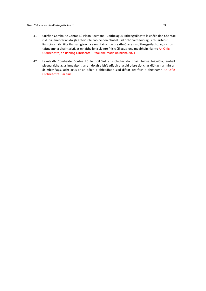- 41 Cuirfidh Comhairle Contae Lú Plean Rochtana Tuaithe agus Bithéagsúlachta le chéile don Chontae, rud ina léireofar an dóigh ar féidir le daoine den phobal – idir chónaitheoirí agus chuairteoirí – limistéir shábháilte tharraingteacha a rochtain chun breathnú ar an mbithéagsúlacht, agus chun taitneamh a bhaint aisti, ar mhaithe lena sláinte fhisiciúil agus lena meabhairshláinte An Oifig Oidhreachta, an Rannóg Oibríochtaí – faoi dheireadh na bliana 2021
- 42 Leanfaidh Comhairle Contae Lú le hoiliúint a sholáthar do bhaill foirne teicniúla, amhail pleanálaithe agus innealtóirí, ar an dóigh a bhféadfadh a gcuid oibre tionchar diúltach a imirt ar ár mbithéagsúlacht agus ar an dóigh a bhféadfadh siad difear dearfach a dhéanamh An Oifig Oidhreachta – ar siúl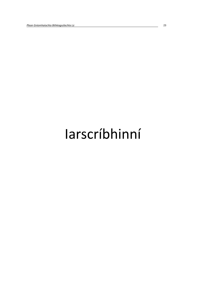## Iarscríbhinní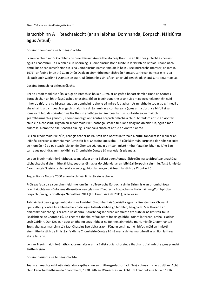## Iarscríbhinn A Reachtaíocht (ar an leibhéal Domhanda, Eorpach, Náisiúnta agus Áitiúil)

#### Cosaint dhomhanda na bithéagsúlachta

Is ann do chuid mhór Coinbhinsiún ó na Náisiúin Aontaithe atá ceaptha chun an Bhithéagsúlacht a chosaint agus a chaomhnú. Tá Coinbhinsiún Bheirn agus Coinbhinsiún Bonn luaite in Iarscríbhinn B thíos. Ceann nach bhfuil luaite san Iarscríbhinn sin is ea Coinbhinsiún Ramsar maidir le héin uisce imirceacha (Ramsar, an Iaráin, 1971), ar faoina bhun atá Cuan Dhún Dealgan ainmnithe mar láithreán Ramsar. Láithreán Ramsar eile is ea cladach Loch Cairlinn i gContae an Dúin. Ní áirítear leis sin, áfach, an chuid den chladach atá suite i gContae Lú.

#### Cosaint Eorpach na bithéagsúlachta

Bhí an Treoir maidir le hÉin, a tugadh isteach sa bhliain 1979, ar an gcéad bheart riamh a rinne an tAontas Eorpach chun an bhithéagsúlacht a chosaint. Bhí an Treoir bunaithe ar an tuiscint go gceanglaíonn éin cuid mhór de thíortha na hEorpa (agus an domhain) le chéile trí imirce fad-achair. Ar mhaithe le sodar go grinneall a sheachaint, áit a mbeadh ar gach tír aithris a dhéanamh ar a comharsana (agus ar na tíortha a bhfuil sí san iomaíocht leo) dá scriosfadh na tíortha sin gnáthóga éan imirceach chun buntáiste eacnamaíoch gearrthéarmach a ghnóthú, chomhaontaigh an tAontas Eorpach rialacha a chur i bhfeidhm ar fud an Aontais chun éin a chosaint. Tugadh an Treoir maidir le Gnáthóga isteach trí bliana déag ina dhiaidh sin, agus é mar aidhm léi ainmhithe eile, seachas éin, agus plandaí a chosaint ar fud an Aontais ar fad.

Leis an Treoir maidir le hÉin, ceanglaítear ar na Ballstáit den Aontas láithreáin a bhfuil tábhacht leo d'éin ar an leibhéal Eorpach a ainmniú mar 'Limistéir faoi Chosaint Speisialta'. Tá cúig láithreán Eorpacha den sórt sin suite go hiomlán nó go páirteach laistigh de Chontae Lú, lena n-áirítear limistéir mhuirí atá faoi bhun na Líne Barr Láin agus nach dtagann faoi dhlínse Chomhairle Contae Lú mar údarás pleanála.

Leis an Treoir maidir le Gnáthóga, ceanglaítear ar na Ballstáit den Aontas láithreáin ina soláthraítear gnáthóga tábhachtacha d'ainmhithe áirithe, seachas éin, agus do phlandaí ar an leibhéal Eorpach a ainmniú. Tá sé Limistéar Caomhantais Speisialta den sórt sin suite go hiomlán nó go páirteach laistigh de Chontae Lú.

Tugtar líonra Natura 2000 ar an dá chineál limistéir sin le chéile.

Próiseas fada ba ea cur chun feidhme iomlán na dTreoracha Eorpacha sin in Éirinn. Is é an príomhphíosa reachtaíochta náisiúnta lena dtrasuitear ceanglais na dTreoracha Eorpacha ná Rialacháin na gComhphobal Eorpach (Éin agus Gnáthóga Nádúrtha), 2011 (I.R. Uimh. 477 de 2011), arna leasú.

Tabhair faoi deara go gcumhdaíonn na Limistéir Chaomhantais Speisialta agus na Limistéir faoi Chosaint Speisialta i gContae Lú aibhneacha, cóstaí agus talamh sléibhe go hiomlán, beagnach. Mar thoradh ar dhiantalmhaíocht agus ar ard-dlús daonra, is fíorbheag láithreán ainmnithe atá suite ar na limistéir talún ísealchríche de Chontae Lú. Ba cheart a thabhairt faoi deara freisin go bhfuil roinnt láithreán, amhail cladach Loch Cairlinn, Dún Dealgan agus an Bhóinn agus inbhear na Bóinne, ainmnithe mar Limistéir Chaomhantais Speisialta agus mar Limistéir faoi Chosaint Speisialta araon. Fágann sé sin gur lú i bhfad méid an limistéir ainmnithe laistigh de limistéar feidhme Chomhairle Contae Lú ná mar a shílfeá mar gheall ar an líon láithreán atá le fáil ann.

Leis an Treoir maidir le Gnáthóga, ceanglaítear ar na Ballstáit dianchosaint a thabhairt d'ainmhithe agus plandaí áirithe freisin.

### Cosaint náisiúnta na bithéagsúlachta

Téann an reachtaíocht náisiúnta atá ceaptha chun an bhithéagsúlacht (fiadhúlra) a chosaint siar go dtí an tAcht chun Eanacha Fiadhaine do Chaomhaint, 1930. Rith an tOireachtas an tAcht um Fhiadhúlra sa bhliain 1976.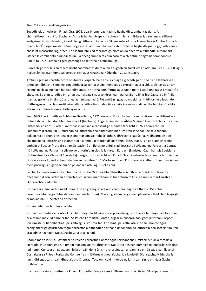#### Plean Gníomhaíochta Bithéagsúlachta Lú 25

Tugadh leis an Acht um Fhiadhúlra, 1976, dea-bhonn reachtach le haghaidh caomhantas dúlra. Anchuimsitheach a bhí forálacha an Achta le haghaidh speicis a chosaint, lena n-áirítear iad sin lena rialáiltear sealgaireacht. Go deimhin, áiríodh leo gnéithe a bhí an-chosúil lena mbeadh sna Treoracha ón Aontas Eorpach maidir le hÉin agus maidir le Gnáthóga ina dhiaidh sin. Bhí bearta Acht 1976 le haghaidh gnáthóga/láithreáin a chosaint measartha lag, áfach. Tríd is tríd, bhí siad teoranta go hiomlán do bhearta a d'fhéadfaí a thabhairt isteach le comhaontú ó úinéirí talún. Ba bheag cumhacht chun cosaint a chinntiú in éagmais comhaontú ó úinéirí talún, fiú amháin i gcás gnáthóga nó láithreáin a bhí amuigh.

Cuireadh go mór leis an reachtaíocht caomhantas dúlra nuair a tugadh an tAcht um Fhiadhúlra (Leasú), 2000, agus Rialacháin na gComhphobal Eorpach (Éin agus Gnáthóga Nádúrtha), 2011, isteach.

Amhail i gcás na reachtaíochta ón Aontas Eorpach, ba é an cur chuige a glacadh go dtí seo ná na láithreáin a bhfuil an tábhacht is mó leo don bhithéagsúlacht a shainaithint agus a chosaint agus a ghlacadh leis ag an am céanna nach gá, nó nach fiú, fiadhúlra atá suite ar thalamh feirme agus faoin tuath i gcoitinne (agus i mbailte) a chosaint. Ba é an toradh a bhí ar an gcur chuige sin, ar an drochuair, ná na láithreáin is bithéagsúla a imfhálú (gan iad go léir a bhainistiú ar bhealach tuisceanach). Fiú amháin i gcás go mbeidh an t-ádh orthu a luach don bhithéagsúlacht a choinneáil, éireoidh na láithreáin sin de réir a chéile ina n-ósaisí dínasctha bithéagsúlachta atá suite i bhfásach aimrid bithéagsúlachta.

Sna 1970idí, roimh rith an Achta um Fhiadhúlra, 1976, rinne an Foras Forbartha suirbhéireacht ar láithreáin a bhfuil tábhacht leo don bhithéagsúlacht (fiadhúlra). Tugadh Limistéir is Ábhar Spéise ó thaobh Eolaíochta ar na láithreáin sin ar dtús, ach ní rabhthas in ann iad a chosaint go hiomlán faoi Acht 1976. Faoin Acht um Fhiadhúlra (Leasú), 2000, cuireadh na láithreáin a sainaithníodh mar Limistéir is Ábhar Spéise ó thaobh Eolaíochta de chun cinn lena gcosaint mar Limistéir bheartaithe Oidhreachta Nádúrtha. Ní dhearnadh aon cheann de na limistéir sin i gContae Lú a ainmniú ó thaobh dlí de ó shin i leith, áfach. Is é an t-aon chosaint amháin atá acu ar fhorbairt dhamáisteach ná an fíoras go bhfuil siad liostaithe i bPleananna Forbartha Contae nó i bPleananna Forbartha eile nó go bhforluíonn siad le láithreán Eorpach (Limistéar Caomhantais Speisialta nó Limistéar faoi Chosaint Speisialta). Leagtar síos san Acht um Fhiadhúlra tréimhse ar lena linn nach bhféadfar fásra a scriosadh, rud a chumhdaíonn an tréimhse ón 1 Márta go dtí an 31 Lúnasa faoi láthair. Tugann sé sin am d'éin pórú agus tugann sé am do phlandaí bláthú agus síol a chur.

Le blianta beaga anuas, tá an téarma 'Limistéar Oidhreachta Nádúrtha is iarrthóir' á úsáid chun tagairt a dhéanamh d'aon láithreán a chuirtear chun cinn mar cheann is fiú a chosaint trí é a ainmniú mar Limistéar Oidhreachta Nádúrtha.

Cosnaítear crainn ar fud na hÉireann tríd an gceanglas atá ann ceadúnas leagtha a fháil ón tSeirbhís Foraoiseachta (cé go bhfuil díolúintí ann ina leith sin). Mar an gcéanna, is gá cead pleanála a fháil chun bogaigh ar mó iad ná 0.1 heicteár a dhraenáil.

### Cosaint áitiúil na bithéagsúlachta

Cosnaíonn Comhairle Contae Lú an bhithéagsúlacht trína córas pleanála agus trí thosca bithéagsúlachta a chur ar áireamh ina cuid oibre ar fad. Sa Phlean Forbartha Contae, tugtar mionsonraí faoi gach láithreán Eorpach, idir Limistéir Chaomhantais Speisialta agus Limistéir faoi Chosaint Speisialta, atá suite sa Chontae agus ceanglaítear go gcuirfí aon tograí forbartha a d'fhéadfadh difear a dhéanamh do láithreáin den sórt sin faoi réir scagadh le haghaidh Measúnacht Chuí ar a laghad.

Chomh maith leis sin, liostaítear sa Phlean Forbartha Contae agus i bPleananna Limistéir Áitiúil láithreáin a cuireadh chun cinn lena n-ainmniú mar Limistéir Oidhreachta Nádúrtha ach nár ainmnigh na húdaráis náisiúnta iad riamh. Cuirtear an gá atá ann le láithreáin den sórt sin a chosaint san áireamh sa phróiseas pleanála ansin. Cosnaítear sa Phlean Forbartha Contae freisin láithreáin gheolaíocha, idir Limistéir Oidhreachta Nádúrtha is Iarrthóirí agus Láithreáin Gheolaíocha Chontae. Tacaíonn cuid mhór de na láithreáin sin le bithéagsúlacht thábhachtach.

Ina theannta sin, cosnaítear sa Phlean Forbartha Contae agus i bPleananna Limistéir Áitiúil grúpaí crann trí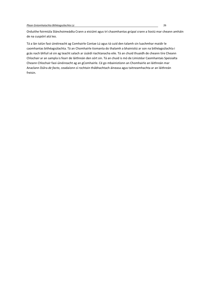Orduithe foirmiúla Slánchoimeádta Crann a eisiúint agus trí chaomhantas grúpaí crann a liostú mar cheann amháin de na cuspóirí atá leo.

Tá a lán talún faoi úinéireacht ag Comhairle Contae Lú agus tá cuid den talamh sin luachmhar maidir le caomhantas bithéagsúlachta. Tá an Chomhairle tiomanta do thalamh a bhainistiú ar son na bithéagsúlachta i gcás nach bhfuil sé sin ag teacht salach ar úsáidí riachtanacha eile. Tá an chuid thuaidh de cheann tíre Cheann Chlochair ar an sampla is fearr de láithreán den sórt sin. Tá an chuid is mó de Limistéar Caomhantais Speisialta Cheann Chlochair faoi úinéireacht ag an gComhairle. Cé go mbainistíonn an Chomhairle an láithreán mar Anaclann Dúlra de facto, ceadaíonn sí rochtain thábhachtach áineasa agus taitneamhachta ar an láithreán freisin.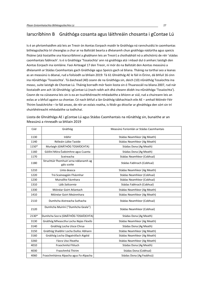## Iarscríbhinn B Gnáthóga cosanta agus láithreáin chosanta i gContae Lú

Is é an phríomhaidhm atá leis an Treoir ón Aontas Eorpach maidir le Gnáthóga ná rannchuidiú le caomhantas bithéagsúlachta trí cheanglas a chur ar na Ballstáit bearta a dhéanamh chun gnáthóga nádúrtha agus speicis fhiáine (atá liostaithe sna hIarscríbhinní a ghabhann leis an Treoir) a chothabháil nó a athchóiriú de réir 'stádas caomhantais fabhrach'. Is é is Gnáthóga 'Tosaíochta' ann ná gnáthóga atá i mbaol dul ó amharc laistigh den Aontas Eorpach ina iomláine. Faoi Airteagal 17 den Treoir, ní mór do na Ballstáit den Aontas measúnú a dhéanamh ar Stádas Caomhantais gach Gnáthóige agus Speicis gach sé bliana. Tháinig na torthaí seo a leanas as an measúnú is déanaí, rud a foilsíodh sa bhliain 2019: Tá 61 Ghnáthóg AE le fáil in Éirinn, dá bhfuil 16 cinn ina nGnáthóga 'Tosaíochta'. Tá daichead (40) ceann de na Gnáthóga sin, deich (10) nGnáthóg Tosaíochta ina measc, suite laistigh de Chontae Lú. Tháinig borradh mór faoin liosta sin ó Thuarascáil na bliana 2007, rud nár liostaíodh ann ach 16 Ghnáthóg i gContae Lú (nach raibh ach dhá cheann díobh ina nGnáthóga 'Tosaíochta'). Ceann de na cúiseanna leis sin is ea an tsuirbhéireacht mhéadaithe a bhíonn ar siúl, rud a chuireann leis an eolas ar a bhfuil againn sa chontae. Cé nach bhfuil a lán Gnáthóg tábhachtach eile AE – amhail Móinéir Féir Thirim Ísealchríche – le fáil anseo, de réir an eolais reatha, is féidir go dtiocfar ar ghnáthóga den sórt sin trí shuirbhéireacht mhéadaithe sa todhchaí.

| Cód   | Gnáthóg                                              | Measúnú Foriomlán ar Stádas Caomhantais |
|-------|------------------------------------------------------|-----------------------------------------|
| 1130  | Inbhir                                               | Stádas Neamhleor (Ag Meath)             |
| 1140  | Réileáin Láibe Taoide                                | Stádas Neamhleor (Ag Meath)             |
| 1150* | Murlaigh (GNÁTHÓG TOSAÍOCHTA)                        | Stádas Dona (Ag Meath)                  |
| 1160  | Góilíní Móra Éadoimhne agus Cuanta                   | Stádas Dona (Ag Meath)                  |
| 1170  | Sceireacha                                           | Stádas Neamhleor (Cobhsaí)              |
| 1180  | Struchtúir fhomhuirí arna ndéanamh ag<br>gáis sceite | Stádas Fabhrach (Cobhsaí)               |
| 1210  | Línte deasca                                         | Stádas Neamhleor (Ag Meath)             |
| 1220  | Trá Scaineagáin Fhásmhar                             | Stádas Neamhleor (Cobhsaí)              |
| 1230  | Muiraillte Fásmhara                                  | Stádas Neamhleor (Cobhsaí)              |
| 1310  | Láib Salicornia                                      | Stádas Fabhrach (Cobhsaí)               |
| 1330  | Móinéar Goirt Atlantach                              | Stádas Neamhleor (Ag Meath)             |
| 1410  | Móinéar Goirt Meánmhara                              | Stádas Neamhleor (Ag Meath)             |
| 2110  | Dumhcha Aistreacha Suthacha                          | Stádas Neamhleor (Cobhsaí)              |
| 2120  | Dumhcha Muiríní ("Dumhcha Geala")                    | Stádas Neamhleor (Cobhsaí)              |
| 2130* | Dumhcha Socra (GNÁTHÓG TOSAÍOCHTA)                   | Stádas Dona (Ag Meath)                  |
| 3130  | Gnáthóg Mheasctha Locha Najas Flexilis               | Stádas Neamhleor (Ag Meath)             |
| 3140  | Gnáthóg Locha Uisce Chrua                            | Stádas Dona (Ag Meath)                  |
| 3150  | Gnáthóg Shaibhir Locha Duilisc Abhann                | Stádas Neamhleor (Ag Meath)             |
| 3160  | Gnáthóg Locha Olagatrófach Aigéid                    | Stádas Neamhleor (Ag Meath)             |
| 3260  | Fásra Uiscí Reatha                                   | Stádas Neamhleor (Ag Meath)             |
| 4010  | Fraochmhá Fhliuch                                    | Stádas Dona (Ag Meath)                  |
| 4030  | Fraochmhá Thirim                                     | Stádas Dona (Cobhsaí)                   |
| 4060  | Fraochmhánna Alpacha agus Fo-Alpacha                 | Stádas Dona (Ag Feabhsú)                |

Liosta de Ghnáthóga AE i gContae Lú agus Stádas Caomhantais na nGnáthóg sin, bunaithe ar an Measúnú a rinneadh sa bhliain 2019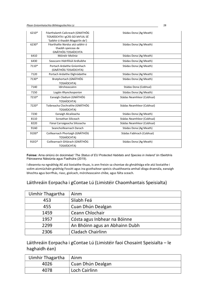| 6210* | Féarthalamh Cailcreach (GNATHÓG<br>TOSAÍOCHTA I gCÁS GO bhFUIL SÉ<br>'Saibhir ó thaobh Magairlín de') | Stádas Dona (Ag Meath)     |
|-------|-------------------------------------------------------------------------------------------------------|----------------------------|
| 6230* | Féarthailte Nardus atá saibhir ó<br>thaobh speiceas de<br>GNÁTHÓG TOSAÍOCHTA                          | Stádas Dona (Ag Meath)     |
| 6410  | Móinéir Molinia                                                                                       | Stádas Dona (Ag Meath)     |
| 6430  | Seascann Hidrifiliúil Ardluibhe                                                                       | Stádas Dona (Ag Meath)     |
| 7110* | Portach Ardaithe Gníomhach<br>(GNÁTHÓG TOSAÍOCHTA)                                                    | Stádas Dona (Ag Meath)     |
| 7120  | Portach Ardaithe Díghrádaithe                                                                         | Stádas Dona (Ag Meath)     |
| 7130* | Bratphortach (GNÁTHÓG<br>TOSAÍOCHTA)                                                                  | Stádas Dona (Ag Meath)     |
| 7140  | Idirsheascainn                                                                                        | Stádas Dona (Cobhsaí)      |
| 7150  | Logáin Rhynchosporion                                                                                 | Stádas Dona (Ag Meath)     |
| 7210* | Eanaigh Cladium (GNÁTHÓG<br>TOSAÍOCHTA)                                                               | Stádas Neamhleor (Cobhsaí) |
| 7220* | Toibreacha Clochraithe (GNÁTHÓG<br>TOSAÍOCHTA)                                                        | Stádas Neamhleor (Cobhsaí) |
| 7230  | Eanaigh Alcaileacha                                                                                   | Stádas Dona (Ag Meath)     |
| 8110  | Screathan Siliceach                                                                                   | Stádas Neamhleor (Cobhsaí) |
| 8220  | Fánaí Carraigeacha Siliceacha                                                                         | Stádas Neamhleor (Cobhsaí) |
| 91A0  | Seanchoillearnach Darach                                                                              | Stádas Dona (Ag Meath)     |
| 91D0* | Coillearnach Phortaigh (GNÁTHÓG<br>TOSAÍOCHTA)                                                        | Stádas Fabhrach (Cobhsaí)  |
| 91EO* | Coillearnach Ghlárach (GNÁTHÓG<br>TOSAÍOCHTA)                                                         | Stádas Dona (Ag Meath)     |

Foinse: Arna oiriúnú ón doiciméad 'The Status of EU Protected Habitats and Species in Ireland' ón tSeirbhís Páirceanna Náisiúnta agus Fiadhúlra (2019).

I dteannta na ngnáthóg AE atá liostaithe thuas, is ann freisin sa chontae do ghnáthóga eile atá liostaithe i scéim aicmiúcháin gnáthóg Fossitt agus ina gcothaítear speicis shuaitheanta amhail díoga draenála, eanaigh bhochta agus borrfhás, riasc, giolcach, mórsheascainn chíbe, agus fálta sceach.

## Láithreáin Eorpacha i gContae Lú (Limistéir Chaomhantais Speisialta)

| Uimhir Thagartha | Ainm                           |
|------------------|--------------------------------|
| 453              | Sliabh Feá                     |
| 455              | Cuan Dhún Dealgan              |
| 1459             | Ceann Chlochair                |
| 1957             | Cósta agus Inbhear na Bóinne   |
| 2299             | An Bhóinn agus an Abhainn Dubh |
| 2306             | <b>Cladach Chairlinn</b>       |

Láithreáin Eorpacha i gContae Lú (Limistéir faoi Chosaint Speisialta – le haghaidh éan)

| Uimhir Thagartha | Ainm              |
|------------------|-------------------|
| 4026             | Cuan Dhún Dealgan |
| 4078             | Loch Cairlinn     |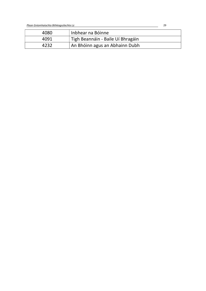Plean Gníomhaíochta Bithéagsúlachta Lú 29

| 4080 | Inbhear na Bóinne                 |
|------|-----------------------------------|
| 4091 | Tigh Beannáin - Baile Uí Bhragáin |
| 4232 | An Bhóinn agus an Abhainn Dubh    |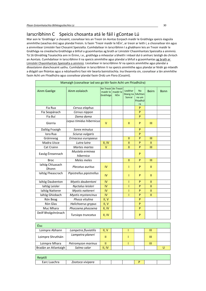## Iarscríbhinn C Speicis chosanta atá le fáil i gContae Lú

Mar aon le 'Gnáthóga' a chosaint, cosnaítear leis an Treoir ón Aontas Eorpach maidir le Gnáthóga speicis éagsúla ainmhithe (seachas éin) agus plandaí freisin. Is faoin 'Treoir maidir le hÉin', ar treoir ar leith í, a chosnaítear éin agus a ainmnítear Limistéir faoi Chosaint Speisialta. Cumhdaítear in Iarscríbhinn I a ghabhann leis an Treoir maidir le Gnáthóga na cineálacha Gnáthóige a bhfuil a gcaomhantas ag brath ar Limistéir Chaomhantais Speisialta a ainmniú. Tá 16 Ghnáthóg Tosaíochta ann in Éirinn, i.e., gnáthóga a mheastar a bheith i mbaol dul ó amharc laistigh de chríoch an Aontais. Cumhdaítear in Iarscríbhinn II na speicis ainmhithe agus plandaí a bhfuil a gcaomhantas ag brath ar Limistéir Chaomhantais Speisialta a ainmniú. Liostaítear in Iarscríbhinn IV na speicis ainmhithe agus plandaí a dteastaíonn dianchosaint uathu. Cumhdaítear in Iarscríbhinn V na speicis ainmhithe agus plandaí ar féidir go mbeidh a dtógáil san fhiántas agus a ndúshaothrú faoi réir bearta bainistíochta. Ina theannta sin, cosnaítear a lán ainmhithe faoin Acht um Fhiadhúlra agus cosnaítear plandaí faoin Ordú um Flora (Cosaint).

| Mamaigh (cosnaítear iad seo go léir faoin Acht um Fhiadhúlra) |                              |                                                |                   |                               |                                                 |               |             |
|---------------------------------------------------------------|------------------------------|------------------------------------------------|-------------------|-------------------------------|-------------------------------------------------|---------------|-------------|
| <b>Ainm Gaeilge</b>                                           | Ainm eolaíoch                | An Treoir An Treoir<br>maidir le l<br>Gnáthóga | maidir le<br>hÉin | Leabhar<br>Dearg na<br>Sonraí | <b>Na</b><br>hAchtan<br>na um<br>Fhiadhúl<br>ra | <b>Beirn</b>  | <b>Bonn</b> |
| Fia Rua                                                       | Cervus elaphus               |                                                |                   |                               | P                                               |               |             |
| Fia Seapánach                                                 | Cervus nippon                |                                                |                   |                               | P                                               |               |             |
| Fia Buí                                                       | Dama dama                    |                                                |                   |                               | P                                               |               |             |
| Giorria                                                       | Lepus timidus hibernicus     | v                                              |                   | Ш                             | P                                               | Ш             |             |
| Dallóg Fraoigh                                                | Sorex minutus                |                                                |                   |                               | P                                               |               |             |
| Iora Rua                                                      | Sciurus vulgaris             |                                                |                   |                               | P                                               |               |             |
| Gráinneog                                                     | Erinaceus europaeus          |                                                |                   | $\mathbf{H}$                  | P                                               | III           |             |
| Madra Uisce                                                   | Lutra lutra                  | II, IV                                         |                   | $\mathbf{H}$                  | P                                               | $\mathbf{II}$ |             |
| Cat Crainn                                                    | <b>Martes martes</b>         | $\vee$                                         |                   | $\mathbf{II}$                 | P                                               | III           |             |
| Easóg Éireannach                                              | Mustela erminea<br>hibernica |                                                |                   |                               | P                                               |               |             |
| <b>Broc</b>                                                   | Meles meles                  |                                                |                   | $\mathbf{H}$                  | P                                               | III           |             |
| Ialtóg Chluasach<br>Dhonn                                     | Plecotus auritus             | IV                                             |                   | T                             | P                                               | $\mathbf{II}$ |             |
| Ialtóg Fheascrach                                             | Pipistrellus pipistrellus    | <b>IV</b>                                      |                   | T                             | P                                               | $\mathbf{H}$  |             |
| Ialtóg Daubenton                                              | Myotis daubentoni            | IV                                             |                   | T                             | P                                               | $\mathbf{II}$ |             |
| laltóg Leisler                                                | Nyctalus leisleri            | IV                                             |                   | T                             | P                                               | $\mathbf{II}$ |             |
| <b>Ialtóg Natterer</b>                                        | Myotis nattereri             | IV                                             |                   |                               | P                                               | $\mathbf{II}$ |             |
| laltóg Ghiobach                                               | Myotis mystancinus           | <b>IV</b>                                      |                   |                               | P                                               | Ш             |             |
| Rón Beag                                                      | Phoca vitulina               | II, V                                          |                   |                               | P                                               |               |             |
| Rón Glas                                                      | Halichoerus grypus           | II, V                                          |                   |                               | P                                               |               |             |
| Muc Mhara                                                     | Phocoena phocoena            | II, IV                                         |                   |                               | P                                               |               |             |
| Deilf Bholgshrónach                                           | Tursiops truncatus           | II, IV                                         |                   |                               | P                                               |               |             |

| Éisc                 |                      |        |  |   |  |
|----------------------|----------------------|--------|--|---|--|
| Loimpre Abhann       | Lampetra fluviatilis | II. V  |  | Ш |  |
| Loimpre Shrutháin    | Lampetra planeri     |        |  | Ш |  |
| Loimpre Mhara        | Petromyzon marinus   |        |  | Ш |  |
| Bradán an Atlantaigh | Salmo salar          | II, IV |  |   |  |

| Reiptílí     |                  |  |  |  |
|--------------|------------------|--|--|--|
| Earc Luachra | Zootoca vivipara |  |  |  |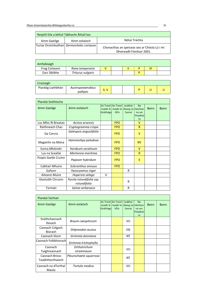| Reiptílí Eile a bhfuil Tábhacht Áitiúil leo |                                           |                                                                         |  |  |  |  |  |
|---------------------------------------------|-------------------------------------------|-------------------------------------------------------------------------|--|--|--|--|--|
| Ainm Gaeilge                                | Ainm eolaíoch                             | Nótaí Tráchta                                                           |  |  |  |  |  |
|                                             | Turtar Droimleathair Dermocheles coriacea | Chonacthas an speiceas seo ar Chósta Lú i mí<br>Dheireadh Fómhair 2001. |  |  |  |  |  |

| Amfaibiaigh          |                   |  |  |   |  |
|----------------------|-------------------|--|--|---|--|
| <b>Frog Coiteann</b> | Rana temporaria   |  |  | Ш |  |
| Earc Sléibhe         | Triturus vulgaris |  |  |   |  |

| Crústaigh         |                              |         |  |  |  |
|-------------------|------------------------------|---------|--|--|--|
| Piardóg Liathbhán | Austropotamobius<br>pallipes | v<br>н. |  |  |  |

| Plandaí Soithíocha     |                                          |                       |                                            |                                         |                               |              |             |
|------------------------|------------------------------------------|-----------------------|--------------------------------------------|-----------------------------------------|-------------------------------|--------------|-------------|
| Ainm Gaeilge           | Ainm eolaíoch                            | maidir le<br>Gnáthóga | An Treoirl An Treoirl<br>maidir le<br>hÉin | Leabhar<br>Dearg na   hAchtan<br>Sonraí | Na<br>na um<br>Fhiadhúl<br>ra | <b>Beirn</b> | <b>Bonn</b> |
| Lus Mhic Rí Breatan    | Acinos arvensis                          |                       | <b>FPO</b>                                 |                                         | v                             |              |             |
| <b>Raithneach Chas</b> | Cryptogramma crispa                      |                       | <b>FPO</b>                                 |                                         | R                             |              |             |
| Ga Corcra              | Galeopsis angustifolia                   |                       | <b>FPO</b>                                 |                                         | $\vee$                        |              |             |
| Magairlín na Móna      | Hammarbya paludosa                       |                       | <b>FPO</b>                                 |                                         | <b>RV</b>                     |              |             |
| Eorna Mhóinéir         | Hordeum secalinum                        |                       | <b>FPO</b>                                 |                                         | $\vee$                        |              |             |
| Lus na Sceallaí        | Mertensia maritima                       |                       | <b>FPO</b>                                 |                                         | R                             |              |             |
| Poipín Garbh Cruinn    | Papaver hybridum                         |                       | <b>FPO</b>                                 |                                         | Ε                             |              |             |
| Cabhair Mhuire         | Scleranthus annuus                       |                       | <b>FPO</b>                                 |                                         |                               |              |             |
| Gafann                 | Hyoscyamus niger                         |                       |                                            | R                                       |                               |              |             |
| Aiteann Muire          | Huperzia selago                          | $\vee$                |                                            |                                         |                               |              |             |
| Glasluibh Chruinn      | Pyrola rotundifolia ssp.<br>rotundifolia |                       |                                            | R                                       |                               |              |             |
| Tormán                 | Salvia verbenaca                         |                       |                                            | R                                       |                               |              |             |

| Plandaí Íochtair                   |                            |                         |                                     |                                      |                                      |              |             |
|------------------------------------|----------------------------|-------------------------|-------------------------------------|--------------------------------------|--------------------------------------|--------------|-------------|
| Ainm Gaeilge                       | Ainm eolaíoch              | maidir le  <br>Gnáthóga | An Treoir An Treoir Leabhar<br>hÉin | maidir le Dearg na hAchtan<br>Sonraí | <b>Na</b><br>na um<br>Fhiadhúl<br>ra | <b>Beirn</b> | <b>Bonn</b> |
| Snáthchaonach<br>Dosach            | Bryum caespiticium         |                         |                                     | VU                                   |                                      |              |             |
| Caonach Colgach<br><b>Biorach</b>  | Didymodon acutus           |                         |                                     | EN                                   |                                      |              |             |
| Caonach Donn                       | Grimmia donniana           |                         |                                     | NT                                   |                                      |              |             |
| Caonach Foltbhiorach               | Grimmia trichophylla       |                         |                                     |                                      |                                      |              |             |
| Caonach<br>Tuíghreannach           | Orthotrichum<br>stramineum |                         |                                     | VU                                   |                                      |              |             |
| Caonach Briosc<br>Taobhthorthaíoch | Pleurochaete squarrosa     |                         |                                     | NT                                   |                                      |              |             |
| Caonach na dTorthaí<br>Maola       | Tortula modica             |                         |                                     | VU                                   |                                      |              |             |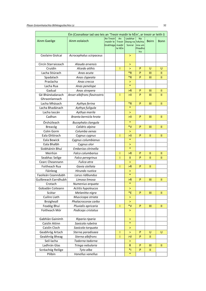| Éin (Cosnaítear iad seo leis an 'Treoir maidir le hÉin', ar treoir ar leith í) |                              |                                           |                                |                               |                                          |               |               |
|--------------------------------------------------------------------------------|------------------------------|-------------------------------------------|--------------------------------|-------------------------------|------------------------------------------|---------------|---------------|
| <b>Ainm Gaeilge</b>                                                            | Ainm eolaíoch                | An Treoir<br>maidir le<br>Gnáthóga maidir | An<br><b>Treoir</b><br>le hÉin | Leabhar<br>Dearg na<br>Sonraí | Na<br>hAchta<br>nna um<br>Fhiadhú<br>Ira | Beirn         | <b>Bonn</b>   |
| Ceolaire Giolcaí                                                               | Acrocephalus scirpaceus      |                                           |                                | >                             |                                          |               |               |
| Circín Starraiceach                                                            | Alauda arvensis              |                                           |                                | $\, > \,$                     |                                          |               |               |
| Cruidín                                                                        | Alcedo atthis                |                                           | Τ                              | >                             | P                                        | U             | U             |
| Lacha Stiúrach                                                                 | Anas acuta                   |                                           |                                | $*R$                          | P                                        | III           | Ш             |
| Spadalach                                                                      | Anas clypeata                |                                           |                                | $*_{R}$                       | P                                        | Ш             | $\mathbf{I}$  |
| Praslacha                                                                      | Anas crecca                  |                                           |                                | >                             |                                          |               |               |
| Lacha Rua                                                                      | Anas penelope                |                                           |                                | $\ast$                        |                                          |               |               |
| Gadual                                                                         | Anas strepera                |                                           |                                | > R                           | P                                        | Ш             | Ш             |
| Gé Bhánéadanach<br>Ghraonlannach                                               | Anser albifrons flavirostris |                                           | Т                              | >11                           | P                                        | Ш             | Ш             |
| Lacha Mhásach                                                                  | Aythya ferina                |                                           |                                | *R                            | P                                        | Ш             | Ш             |
| Lacha Bhadánach                                                                | Aythya fuligula              |                                           |                                | $\ast$                        |                                          |               |               |
| Lacha Iascán                                                                   | Aythya marila                |                                           |                                | ⋗                             |                                          |               |               |
| Cadhan                                                                         | Branta bernicla hrota        |                                           |                                | ⋊                             | P                                        | Ш             | Ш             |
| Órshúileach                                                                    | Bucephala clangula           |                                           |                                | $\ast$                        |                                          |               |               |
| Breacóg                                                                        | Calidris alpina              |                                           |                                | $*V$                          | P                                        | Ш             | Ш             |
| Colm Gorm                                                                      | Columba oenas                |                                           |                                | >                             |                                          |               |               |
| Eala Ghlórach                                                                  | Cygnus cygnus                |                                           | T                              | ⋝∐                            | P                                        | Ш             | Ш             |
| Eala Bewick                                                                    | Cygnus columbianus           |                                           |                                | $\ast$                        |                                          |               |               |
| Eala Bhalbh                                                                    | Cygnus olor                  |                                           |                                | >                             |                                          |               |               |
| Siobháinín Bhuí                                                                | Emberiza citrinella          |                                           |                                | $\ast$                        |                                          |               |               |
| Meirliún                                                                       | Falco columbarius            |                                           | I                              | >R                            | P                                        | $\mathbf{H}$  | Ш             |
| Seabhac Seilge                                                                 | Falco peregrinus             |                                           | T                              | Ш                             | P                                        | Ш             | Ш             |
| Cearc Cheannann                                                                | Fulica atra                  |                                           |                                | >                             |                                          |               |               |
| Foitheach Rua                                                                  | Gavia stellata               |                                           | Τ                              | >R                            | P                                        | Ш             |               |
| Fáinleog                                                                       | Hirundo rustica              |                                           |                                | >                             |                                          |               |               |
| Faoileán Ceanndubh                                                             | Larus ridibundus             |                                           |                                | $\ast$                        |                                          |               |               |
| Guilbneach Earrdhubh                                                           | Limosa limosa                |                                           |                                | >R                            | P                                        | Ш             | Ш             |
| Crotach                                                                        | Numenius arquata             |                                           |                                | $\ast$                        |                                          |               |               |
| Gobadán Coiteann                                                               | Actitis hypoleucos           |                                           |                                | $\, > \,$                     |                                          |               |               |
| Scótar                                                                         | Melanitta nigra              |                                           |                                | $E^*$                         | P                                        | Ш             | Ш             |
| Cuilire Liath                                                                  | Muscicapa striata            |                                           |                                | >                             |                                          |               |               |
| Broigheall                                                                     | Phalacrocorax carbo          |                                           |                                | ×                             |                                          |               |               |
| Feadóg Bhuí                                                                    | Pluvialis apricaria          |                                           | T                              | $*_{V}$                       | $\mathsf{P}$                             | Ш             | $\mathbf{H}$  |
| Foitheach Mór                                                                  | Podiceps cristatus           |                                           |                                | ×                             |                                          |               |               |
| Gabhlán Gainimh                                                                | Riparia riparia              |                                           |                                | >                             |                                          |               |               |
| Caislín Aitinn                                                                 | Saxicola rubetra             |                                           |                                | $\ast$                        |                                          |               |               |
| Caislín Cloch                                                                  | Saxicola torquata            |                                           |                                | >                             |                                          |               |               |
| Geabhróg Artach                                                                | Sterna paradisaea            |                                           | I                              | >                             | ${\sf P}$                                | U             | U             |
| Geabhróg Bheag                                                                 | Sterna albifrons             |                                           | T                              | >V                            | P                                        | Ш             |               |
| Seil-lacha                                                                     | Tadorna tadorna              |                                           |                                | >                             |                                          |               |               |
| Ladhrán Glas                                                                   | Tringa nebularia             |                                           |                                | R                             | P                                        | Ш             | $\mathbf{II}$ |
| Scréachóg Reilige                                                              | Tyto alba                    |                                           |                                | $*$                           | P                                        | $\mathbf{II}$ |               |
| Pilibín                                                                        | Vanellus vanellus            |                                           |                                | $\ast$                        |                                          |               |               |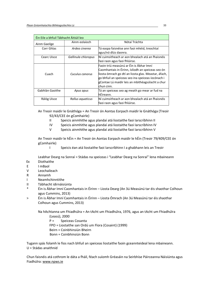| Éin Eile a bhfuil Tábhacht Áitiúil leo |                     |                                                                                                                                                                                                                                                                              |  |  |  |  |
|----------------------------------------|---------------------|------------------------------------------------------------------------------------------------------------------------------------------------------------------------------------------------------------------------------------------------------------------------------|--|--|--|--|
| Ainm Gaeilge                           | Ainm eolaíoch       | Nótaí Tráchta                                                                                                                                                                                                                                                                |  |  |  |  |
| Corr Ghlas                             | Ardea cinerea       | Tá easpa faisnéise ann faoi mhéid, treochtaí<br>agus/nó dlús daonra.                                                                                                                                                                                                         |  |  |  |  |
| Cearc Uisce                            | Gallinula chloropus | Ní cuimsitheach ar aon bhealach atá an fhaisnéis<br>faoi raon agus faoi fhlúirse.                                                                                                                                                                                            |  |  |  |  |
| Cuach                                  | Cuculus canorus     | Faoin tríú measúnú ar Éin is Ábhar Imní<br>Caomhantais in Éirinn, íslíodh an speiceas seo ón<br>liosta ómrach go dtí an liosta glas. Meastar, áfach,<br>go bhfuil an speiceas seo ina speiceas íocónach i<br>gContae Lú maidir leis an mbithéagsúlacht a chur<br>lchun cinn. |  |  |  |  |
| Gabhlán Gaoithe                        | Apus apus           | Tá an speiceas seo ag meath go mear ar fud na<br>hÉireann.                                                                                                                                                                                                                   |  |  |  |  |
| Rálóg Uisce                            | Rallus aquaticus    | Ní cuimsitheach ar aon bhealach atá an fhaisnéis<br>faoi raon agus faoi fhlúirse.                                                                                                                                                                                            |  |  |  |  |

An Treoir maidir le Gnáthóga = An Treoir ón Aontas Eorpach maidir le Gnáthóga (Treoir 92/43/CEE ón gComhairle)

- II Speicis ainmhithe agus plandaí atá liostaithe faoi Iarscríbhinn II
- IV Speicis ainmhithe agus plandaí atá liostaithe faoi Iarscríbhinn IV
- V Speicis ainmhithe agus plandaí atá liostaithe faoi Iarscríbhinn V

An Treoir maidir le hÉin = An Treoir ón Aontas Eorpach maidir le hÉin (Treoir 79/409/CEE ón gComhairle)

I Speicis éan atá liostaithe faoi Iarscríbhinn I a ghabhann leis an Treoir

Leabhar Dearg na Sonraí = Stádas na speiceas i "Leabhar Dearg na Sonraí" lena mbaineann Ex Díothaithe

- E I mBaol
- V Leochaileach
- R Annamh
- I Neamhchinntithe
- II Tábhacht idirnáisiúnta
- \* Éin is Ábhar Imní Caomhantais in Éirinn Liosta Dearg (An 3ú Measúnú tar éis shaothar Colhoun agus Cummins, 2013)
- > Éin is Ábhar Imní Caomhantais in Éirinn Liosta Ómrach (An 3ú Measúnú tar éis shaothar Colhoun agus Cummins, 2013)

Na hAchtanna um Fhiadhúlra = An tAcht um Fhiadhúlra, 1976, agus an tAcht um Fhiadhúlra

- (Leasú), 2000
- P = Speiceas Cosanta
- FPO = Liostaithe san Ordú um Flora (Cosaint) (1999)
- Beirn = Coinbhinsiún Bheirn
- Bonn = Coinbhinsiún Bonn

Tugann spás folamh le fios nach bhfuil an speiceas liostaithe faoin gceannteideal lena mbaineann. U = Stádas anaithnid

Chun faisnéis atá cothrom le dáta a fháil, féach suíomh Gréasáin na Seirbhíse Páirceanna Náisiúnta agus Fiadhúlra: www.npws.ie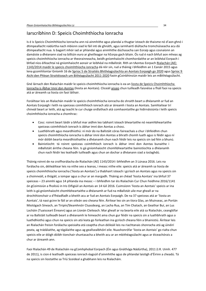## Iarscríbhinn D: Speicis Choimhthíocha Ionracha

Is é is Speicis Choimhthíocha Ionracha ann ná ainmhithe agus plandaí a thugtar isteach de thaisme nó d'aon ghnó i dtimpeallacht nádúrtha nach mbíonn siad le fáil inti de ghnáth, agus iarmhairtí diúltacha tromchúiseacha acu dá dtimpeallacht nua. Is bagairt mhór iad ar phlandaí agus ainmhithe dúchasacha san Eoraip agus cosnaíonn an damáiste a dhéanann siad na billiúin euro ar gheilleagar na hEorpa gach bliain. Ós rud é nach bhfuil aon mheas ag speicis choimhthíocha ionracha ar theorainneacha, beidh gníomhaíocht chomhordaithe ar an leibhéal Eorpach i bhfad níos éifeachtaí ná gníomhaíocht aonair ar leibhéal na mBallstát. Rith an tAontas Eorpach Rialachán (AE) 1143/2014 maidir le speicis choimhthíocha ionracha dá réir sin, rud a tháinig i bhfeidhm an 1 Eanáir 2015 agus lena gcomhlíontar Gníomh 16 de Sprioc 5 de Straitéis Bhithéagsúlachta an Aontais Eorpaigh go 2020 agus Sprioc 9 Aichi den Phlean Straitéiseach um Bithéagsúlacht 2011-2020 faoin gCoinbhinsiún maidir leis an mBithéagsúlacht.

Gné lárnach den Rialachán maidir le speicis choimhthíocha ionracha is ea an liosta de Speicis Choimhthíocha Ionracha is Ábhar Imní don Aontas (liosta an Aontais). Cliceáil anseo chun tuilleadh faisnéise a fháil faoi na speicis atá ar áireamh sa liosta sin faoi láthair.

Foráiltear leis an Rialachán maidir le speicis choimhthíocha ionracha do shraith beart a dhéanamh ar fud an Aontais Eorpaigh i leith na speiceas coimhthíoch ionrach atá ar áireamh i liosta an Aontais. Samhlaítear trí chineál beart ar leith, atá ag teacht le cur chuige ordlathach atá comhaontaithe go hidirnáisiúnta i leith speicis choimhthíocha ionracha a chomhrac:

- Cosc: roinnt beart láidir a bhfuil mar aidhm leo tabhairt isteach bheartaithe nó neamhbheartaithe speiceas coimhthíoch ionrach is ábhar imní don Aontas a chosc.
- Luathbhrath agus meardhíothú: ní mór do na Ballstáit córas faireachais a chur i bhfeidhm chun speicis choimhthíocha ionracha is ábhar imní don Aontas a bhrath chomh luath agus is féidir agus ní mór dóibh bearta meardhíothaithe a dhéanamh chun nach féidir leis na speicis sin iad féin a bhunú.
- Bainistíocht: tá roinnt speiceas coimhthíoch ionrach is ábhar imní don Aontas bunaithe i mBallstáit áirithe cheana féin. Is gá gníomhaíocht chomhbheartaithe bainistíochta a dhéanamh chun nach féidir leo leathadh tuilleadh agus chun an dochar a dhéanann siad a íoslaghdú.

Tháinig roinnt de na croífhorálacha de Rialachán (AE) 1143/2014 i bhfeidhm an 3 Lúnasa 2016. Leis na forálacha sin, déileáiltear leis na nithe seo a leanas, i measc nithe eile: speicis atá ar áireamh sa liosta de speicis choimhthíocha ionracha ('liosta an Aontais') a thabhairt isteach i gcríoch an Aontais agus na speicis sin a choinneáil, a thógáil, a iompar agus a chur ar an margadh. Tháinig an chéad 'liosta Aontais' ina bhfuil 37 speiceas – 23 ainmhí agus 14 phlanda ina measc – i bhfeidhm tar éis Rialachán Cur Chun Feidhme 2016/1141 ón gCoimisiún a fhoilsiú in Iris Oifigiúil an Aontais an 14 Iúil 2016. Cuimsíonn 'liosta an Aontais' speicis ar ina leith is gá gníomhaíocht chomhbheartaithe a dhéanamh ar fud na mBallstát uile mar gheall ar na drochthionchair a d'fhéadfadh a bheith acu ar fud an Aontais Eorpaigh. De na 37 speiceas atá ar 'liosta an Aontais', tá naoi gcinn le fáil ar an oileán seo cheana féin. Áirítear leo sin an tIora Glas, an Muinseac, an Portán Miotógach Síneach, an Tiripín/Sleamhnóir Cluasdearg, an Lacha Rua, an Tím Chatach, an Geathar Buí, an Lus Locháin (Tuaisceart Éireann) agus an Líonán Cleiteach. Mar gheall ar na bearta eile atá sa Rialachán, ceanglófar ar na Ballstáit tuilleadh beart a dhéanamh le himeacht ama chun gur féidir na speicis sin a luathbhrath agus a luathdhíothú agus chun na speicis sin atá leata go forleathan ina gcríoch cheana féin a bhainistiú. Áirítear leis an Rialachán freisin forálacha speisialta atá ceaptha chun déileáil leis na riachtanais shonracha atá ag úinéirí peata, ag trádálaithe, ag tógálaithe agus ag geallsealbhóirí eile. Nuashonrófar 'liosta an Aontais' go rialta chun speicis eile ar dóigh dóibh tionchair shuntasacha a bheith acu ar an mbithéagsúlacht agus ar éiceachórais a chur ar áireamh ann.

Faoi Rialachán 49 de Rialacháin na gComhphobal Eorpach (Éin agus Gnáthóga Nádúrtha), 2011 (I.R. Uimh. 477 de 2011), is cion é leathadh speiceas ionrach éagsúil d'ainmhithe agus de phlandaí laistigh d'Éirinn a cheadú. Tá na speicis sin liostaithe sa Tríú Sceideal a ghabhann leis na Rialacháin.